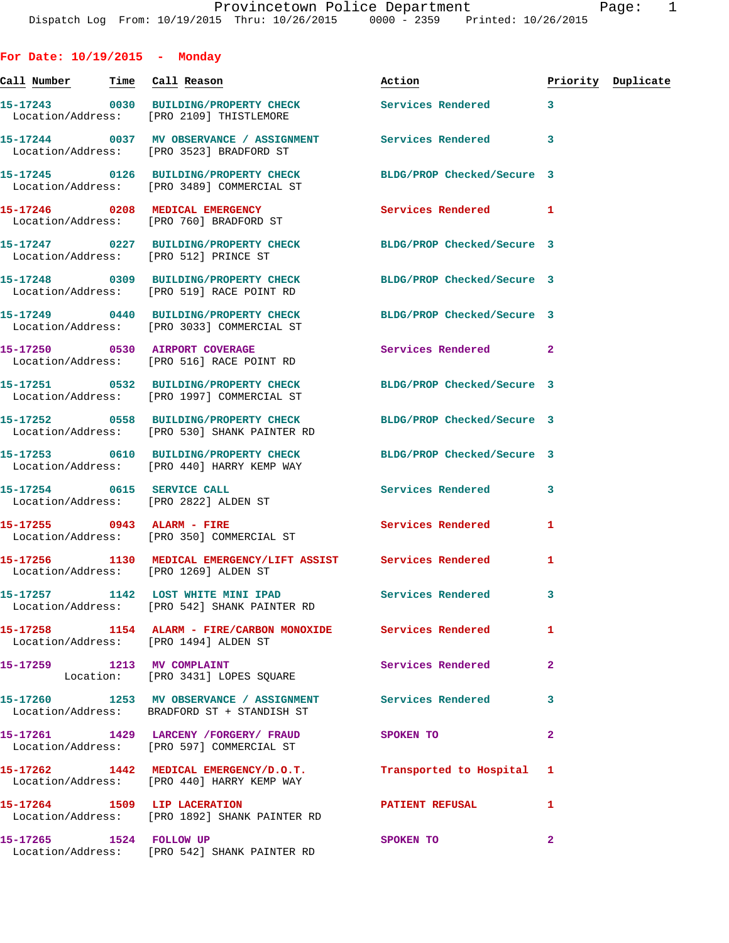**For Date: 10/19/2015 - Monday**

**Call Number Time Call Reason Action Priority Duplicate 15-17243 0030 BUILDING/PROPERTY CHECK Services Rendered 3**  Location/Address: [PRO 2109] THISTLEMORE **15-17244 0037 MV OBSERVANCE / ASSIGNMENT Services Rendered 3**  Location/Address: [PRO 3523] BRADFORD ST **15-17245 0126 BUILDING/PROPERTY CHECK BLDG/PROP Checked/Secure 3**  Location/Address: [PRO 3489] COMMERCIAL ST **15-17246 0208 MEDICAL EMERGENCY Services Rendered 1**  Location/Address: [PRO 760] BRADFORD ST **15-17247 0227 BUILDING/PROPERTY CHECK BLDG/PROP Checked/Secure 3**  Location/Address: [PRO 512] PRINCE ST **15-17248 0309 BUILDING/PROPERTY CHECK BLDG/PROP Checked/Secure 3**  Location/Address: [PRO 519] RACE POINT RD **15-17249 0440 BUILDING/PROPERTY CHECK BLDG/PROP Checked/Secure 3**  Location/Address: [PRO 3033] COMMERCIAL ST **15-17250 0530 AIRPORT COVERAGE Services Rendered 2**  Location/Address: [PRO 516] RACE POINT RD **15-17251 0532 BUILDING/PROPERTY CHECK BLDG/PROP Checked/Secure 3**  Location/Address: [PRO 1997] COMMERCIAL ST **15-17252 0558 BUILDING/PROPERTY CHECK BLDG/PROP Checked/Secure 3**  Location/Address: [PRO 530] SHANK PAINTER RD **15-17253 0610 BUILDING/PROPERTY CHECK BLDG/PROP Checked/Secure 3**  Location/Address: [PRO 440] HARRY KEMP WAY **15-17254 0615 SERVICE CALL Services Rendered 3**  Location/Address: [PRO 2822] ALDEN ST **15-17255 0943 ALARM - FIRE Services Rendered 1**  Location/Address: [PRO 350] COMMERCIAL ST **15-17256 1130 MEDICAL EMERGENCY/LIFT ASSIST Services Rendered 1**  Location/Address: [PRO 1269] ALDEN ST **15-17257 1142 LOST WHITE MINI IPAD Services Rendered 3**  Location/Address: [PRO 542] SHANK PAINTER RD **15-17258 1154 ALARM - FIRE/CARBON MONOXIDE Services Rendered 1**  Location/Address: [PRO 1494] ALDEN ST **15-17259 1213 MV COMPLAINT Services Rendered 2**  Location: [PRO 3431] LOPES SQUARE **15-17260 1253 MV OBSERVANCE / ASSIGNMENT Services Rendered 3**  Location/Address: BRADFORD ST + STANDISH ST **15-17261 1429 LARCENY /FORGERY/ FRAUD SPOKEN TO 2**  Location/Address: [PRO 597] COMMERCIAL ST **15-17262 1442 MEDICAL EMERGENCY/D.O.T. Transported to Hospital 1**  Location/Address: [PRO 440] HARRY KEMP WAY **15-17264 1509 LIP LACERATION PATIENT REFUSAL 1**  Location/Address: [PRO 1892] SHANK PAINTER RD

**15-17265 1524 FOLLOW UP SPOKEN TO 2** 

Location/Address: [PRO 542] SHANK PAINTER RD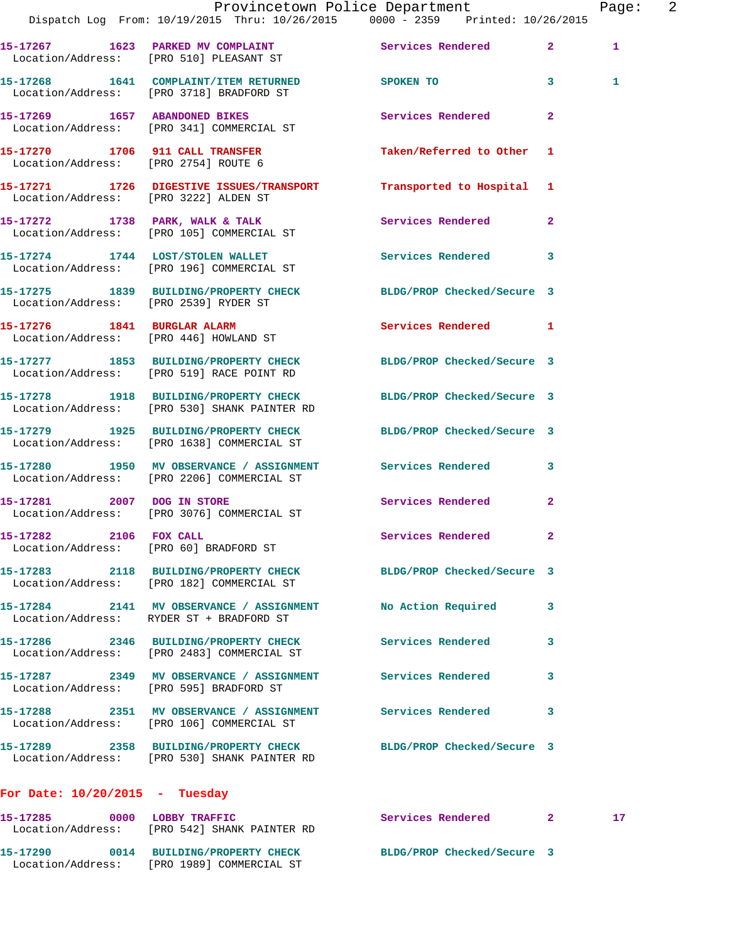|                                       | Provincetown Police Department<br>Dispatch Log From: 10/19/2015 Thru: 10/26/2015 0000 - 2359 Printed: 10/26/2015 |                            |                | Page: 2 |  |
|---------------------------------------|------------------------------------------------------------------------------------------------------------------|----------------------------|----------------|---------|--|
|                                       | 15-17267 1623 PARKED MV COMPLAINT<br>Location/Address: [PRO 510] PLEASANT ST                                     | Services Rendered 2        |                | 1       |  |
|                                       | 15-17268 1641 COMPLAINT/ITEM RETURNED SPOKEN TO<br>Location/Address: [PRO 3718] BRADFORD ST                      |                            | 3 <sup>2</sup> | 1       |  |
|                                       | 15-17269 1657 ABANDONED BIKES<br>Location/Address: [PRO 341] COMMERCIAL ST                                       | Services Rendered          | $\overline{2}$ |         |  |
|                                       | 15-17270 1706 911 CALL TRANSFER<br>Location/Address: [PRO 2754] ROUTE 6                                          | Taken/Referred to Other 1  |                |         |  |
| Location/Address: [PRO 3222] ALDEN ST | 15-17271 1726 DIGESTIVE ISSUES/TRANSPORT Transported to Hospital 1                                               |                            |                |         |  |
|                                       | 15-17272 1738 PARK, WALK & TALK Services Rendered 2<br>Location/Address: [PRO 105] COMMERCIAL ST                 |                            |                |         |  |
|                                       | 15-17274 1744 LOST/STOLEN WALLET<br>Location/Address: [PRO 196] COMMERCIAL ST                                    | Services Rendered 3        |                |         |  |
|                                       | 15-17275 1839 BUILDING/PROPERTY CHECK BLDG/PROP Checked/Secure 3<br>Location/Address: [PRO 2539] RYDER ST        |                            |                |         |  |
|                                       | 15-17276 1841 BURGLAR ALARM<br>Location/Address: [PRO 446] HOWLAND ST                                            | Services Rendered 1        |                |         |  |
|                                       | 15-17277 1853 BUILDING/PROPERTY CHECK BLDG/PROP Checked/Secure 3<br>Location/Address: [PRO 519] RACE POINT RD    |                            |                |         |  |
|                                       | 15-17278 1918 BUILDING/PROPERTY CHECK BLDG/PROP Checked/Secure 3<br>Location/Address: [PRO 530] SHANK PAINTER RD |                            |                |         |  |
|                                       | 15-17279 1925 BUILDING/PROPERTY CHECK BLDG/PROP Checked/Secure 3<br>Location/Address: [PRO 1638] COMMERCIAL ST   |                            |                |         |  |
|                                       | 15-17280 1950 MV OBSERVANCE / ASSIGNMENT Services Rendered 3<br>Location/Address: [PRO 2206] COMMERCIAL ST       |                            |                |         |  |
|                                       | 15-17281 2007 DOG IN STORE<br>Location/Address: [PRO 3076] COMMERCIAL ST                                         | Services Rendered          | $\overline{2}$ |         |  |
| 15-17282 2106 FOX CALL                | Location/Address: [PRO 60] BRADFORD ST                                                                           | Services Rendered          | $\mathbf{2}$   |         |  |
|                                       | 15-17283 2118 BUILDING/PROPERTY CHECK BLDG/PROP Checked/Secure 3<br>Location/Address: [PRO 182] COMMERCIAL ST    |                            |                |         |  |
|                                       | 15-17284 2141 MV OBSERVANCE / ASSIGNMENT<br>Location/Address: RYDER ST + BRADFORD ST                             | No Action Required         | 3              |         |  |
|                                       | 15-17286 2346 BUILDING/PROPERTY CHECK<br>Location/Address: [PRO 2483] COMMERCIAL ST                              | <b>Services Rendered</b>   | 3              |         |  |
|                                       | 15-17287 2349 MV OBSERVANCE / ASSIGNMENT<br>Location/Address: [PRO 595] BRADFORD ST                              | <b>Services Rendered</b>   | 3              |         |  |
|                                       | 15-17288 2351 MV OBSERVANCE / ASSIGNMENT Services Rendered<br>Location/Address: [PRO 106] COMMERCIAL ST          |                            | 3              |         |  |
|                                       |                                                                                                                  | BLDG/PROP Checked/Secure 3 |                |         |  |
| For Date: $10/20/2015$ - Tuesday      |                                                                                                                  |                            |                |         |  |

| 15-17285<br>Location/Address: | 0000 | <b>LOBBY TRAFFIC</b><br>[PRO 542] SHANK PAINTER RD         | Services Rendered |                            |  |
|-------------------------------|------|------------------------------------------------------------|-------------------|----------------------------|--|
| 15-17290<br>Location/Address: | 0014 | <b>BUILDING/PROPERTY CHECK</b><br>(PRO 1989) COMMERCIAL ST |                   | BLDG/PROP Checked/Secure 3 |  |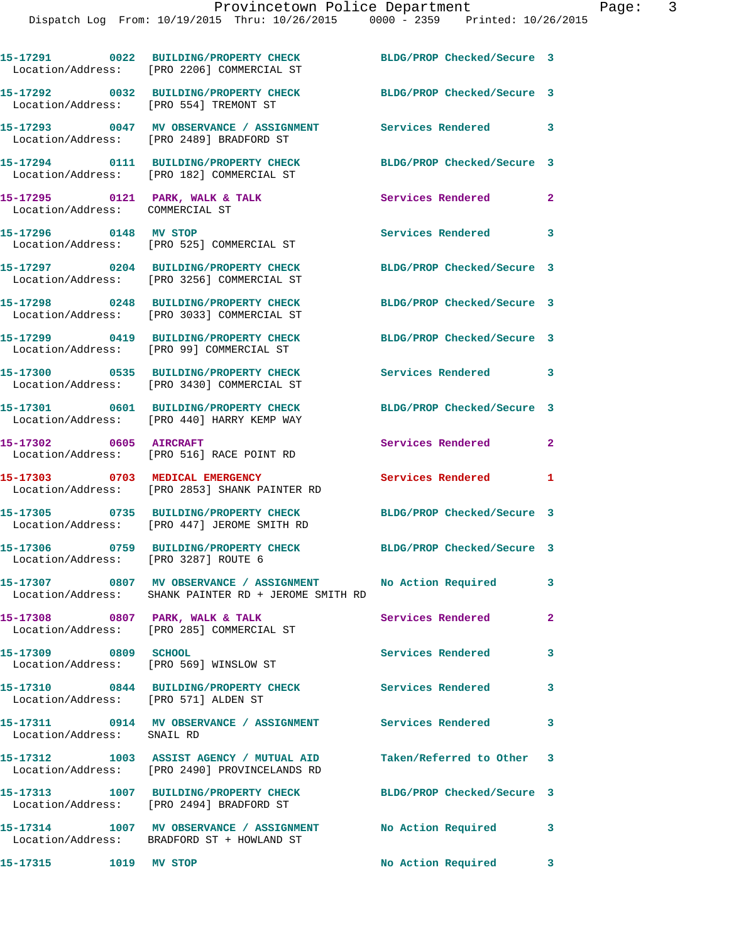**15-17291 0022 BUILDING/PROPERTY CHECK BLDG/PROP Checked/Secure 3**  Location/Address: [PRO 2206] COMMERCIAL ST **15-17292 0032 BUILDING/PROPERTY CHECK BLDG/PROP Checked/Secure 3**  Location/Address: [PRO 554] TREMONT ST **15-17293 0047 MV OBSERVANCE / ASSIGNMENT Services Rendered 3**  Location/Address: [PRO 2489] BRADFORD ST **15-17294 0111 BUILDING/PROPERTY CHECK BLDG/PROP Checked/Secure 3**  Location/Address: [PRO 182] COMMERCIAL ST **15-17295 0121 PARK, WALK & TALK Services Rendered 2**  Location/Address: COMMERCIAL ST 15-17296 0148 MV STOP **Services Rendered** 3 Location/Address: [PRO 525] COMMERCIAL ST **15-17297 0204 BUILDING/PROPERTY CHECK BLDG/PROP Checked/Secure 3**  Location/Address: [PRO 3256] COMMERCIAL ST **15-17298 0248 BUILDING/PROPERTY CHECK BLDG/PROP Checked/Secure 3**  Location/Address: [PRO 3033] COMMERCIAL ST **15-17299 0419 BUILDING/PROPERTY CHECK BLDG/PROP Checked/Secure 3**  Location/Address: [PRO 99] COMMERCIAL ST **15-17300 0535 BUILDING/PROPERTY CHECK Services Rendered 3**  Location/Address: [PRO 3430] COMMERCIAL ST **15-17301 0601 BUILDING/PROPERTY CHECK BLDG/PROP Checked/Secure 3**  Location/Address: [PRO 440] HARRY KEMP WAY **15-17302 0605 AIRCRAFT Services Rendered 2**  Location/Address: [PRO 516] RACE POINT RD **15-17303 0703 MEDICAL EMERGENCY Services Rendered 1**  Location/Address: [PRO 2853] SHANK PAINTER RD **15-17305 0735 BUILDING/PROPERTY CHECK BLDG/PROP Checked/Secure 3**  Location/Address: [PRO 447] JEROME SMITH RD **15-17306 0759 BUILDING/PROPERTY CHECK BLDG/PROP Checked/Secure 3**  Location/Address: [PRO 3287] ROUTE 6 **15-17307 0807 MV OBSERVANCE / ASSIGNMENT No Action Required 3**  Location/Address: SHANK PAINTER RD + JEROME SMITH RD 15-17308 0807 PARK, WALK & TALK **Services Rendered** 2 Location/Address: [PRO 285] COMMERCIAL ST **15-17309 0809 SCHOOL Services Rendered 3**  Location/Address: [PRO 569] WINSLOW ST **15-17310 0844 BUILDING/PROPERTY CHECK Services Rendered 3**  Location/Address: [PRO 571] ALDEN ST **15-17311 0914 MV OBSERVANCE / ASSIGNMENT Services Rendered 3**  Location/Address: SNAIL RD **15-17312 1003 ASSIST AGENCY / MUTUAL AID Taken/Referred to Other 3**  Location/Address: [PRO 2490] PROVINCELANDS RD **15-17313 1007 BUILDING/PROPERTY CHECK BLDG/PROP Checked/Secure 3**  Location/Address: [PRO 2494] BRADFORD ST **15-17314 1007 MV OBSERVANCE / ASSIGNMENT No Action Required 3**  Location/Address: BRADFORD ST + HOWLAND ST

**15-17315 1019 MV STOP No Action Required 3**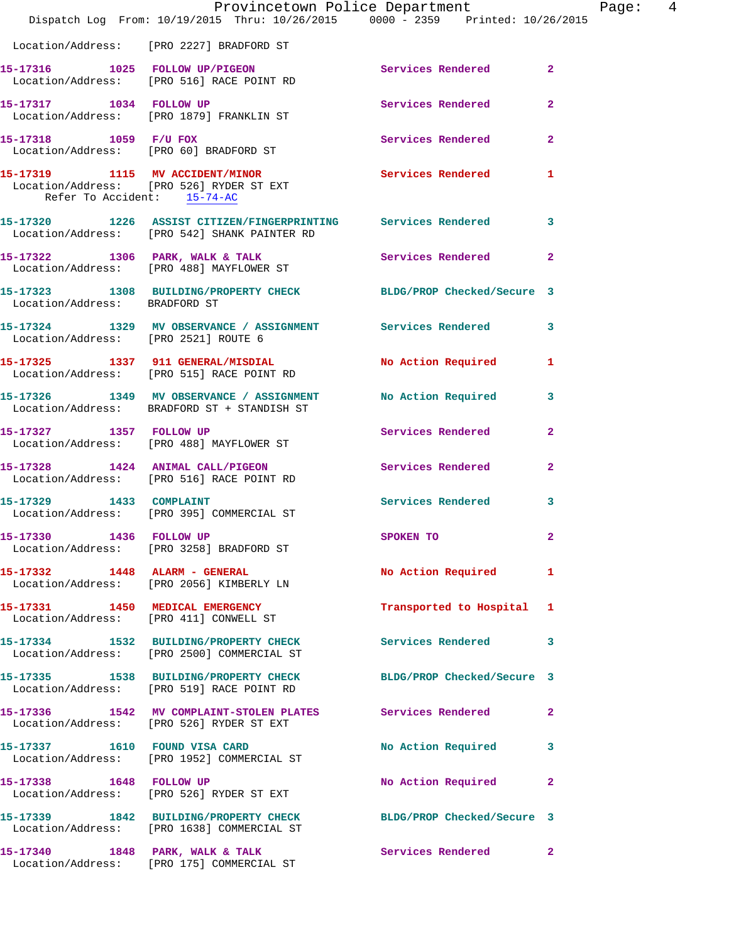|                                      | Dispatch Log From: 10/19/2015 Thru: 10/26/2015 0000 - 2359 Printed: 10/26/2015                                  | Provincetown Police Department | Page:  4       |
|--------------------------------------|-----------------------------------------------------------------------------------------------------------------|--------------------------------|----------------|
|                                      | Location/Address: [PRO 2227] BRADFORD ST                                                                        |                                |                |
|                                      | 15-17316 1025 FOLLOW UP/PIGEON<br>Location/Address: [PRO 516] RACE POINT RD                                     | Services Rendered 2            |                |
|                                      | 15-17317 1034 FOLLOW UP<br>Location/Address: [PRO 1879] FRANKLIN ST                                             | Services Rendered              | $\overline{2}$ |
| 15-17318 1059 F/U FOX                | Location/Address: [PRO 60] BRADFORD ST                                                                          | Services Rendered 2            |                |
| Refer To Accident: 15-74-AC          | 15-17319 1115 MV ACCIDENT/MINOR<br>Location/Address: [PRO 526] RYDER ST EXT                                     | Services Rendered 1            |                |
|                                      | 15-17320 1226 ASSIST CITIZEN/FINGERPRINTING Services Rendered 3<br>Location/Address: [PRO 542] SHANK PAINTER RD |                                |                |
|                                      | 15-17322 1306 PARK, WALK & TALK<br>Location/Address: [PRO 488] MAYFLOWER ST                                     | Services Rendered 2            |                |
| Location/Address: BRADFORD ST        | 15-17323 1308 BUILDING/PROPERTY CHECK BLDG/PROP Checked/Secure 3                                                |                                |                |
| Location/Address: [PRO 2521] ROUTE 6 | 15-17324 1329 MV OBSERVANCE / ASSIGNMENT Services Rendered 3                                                    |                                |                |
|                                      | 15-17325 1337 911 GENERAL/MISDIAL<br>Location/Address: [PRO 515] RACE POINT RD                                  | No Action Required 1           |                |
|                                      | 15-17326 1349 MV OBSERVANCE / ASSIGNMENT No Action Required 3<br>Location/Address: BRADFORD ST + STANDISH ST    |                                |                |
|                                      | 15-17327 1357 FOLLOW UP<br>Location/Address: [PRO 488] MAYFLOWER ST                                             | Services Rendered              | $\mathbf{2}$   |
|                                      | 15-17328 1424 ANIMAL CALL/PIGEON Services Rendered<br>Location/Address: [PRO 516] RACE POINT RD                 |                                | $\overline{2}$ |
|                                      | 15-17329 1433 COMPLAINT<br>Location/Address: [PRO 395] COMMERCIAL ST                                            | Services Rendered 3            |                |
|                                      | 15-17330 1436 FOLLOW UP<br>Location/Address: [PRO 3258] BRADFORD ST                                             | <b>SPOKEN TO</b>               |                |
|                                      | 15-17332 1448 ALARM - GENERAL<br>Location/Address: [PRO 2056] KIMBERLY LN                                       | No Action Required 1           |                |
|                                      | 15-17331 1450 MEDICAL EMERGENCY<br>Location/Address: [PRO 411] CONWELL ST                                       | Transported to Hospital 1      |                |
|                                      | 15-17334 1532 BUILDING/PROPERTY CHECK Services Rendered 3<br>Location/Address: [PRO 2500] COMMERCIAL ST         |                                |                |
|                                      | 15-17335 1538 BUILDING/PROPERTY CHECK BLDG/PROP Checked/Secure 3<br>Location/Address: [PRO 519] RACE POINT RD   |                                |                |
|                                      | 15-17336 1542 MV COMPLAINT-STOLEN PLATES Services Rendered<br>Location/Address: [PRO 526] RYDER ST EXT          |                                | $\mathbf{2}$   |
| 15-17337 1610 FOUND VISA CARD        | Location/Address: [PRO 1952] COMMERCIAL ST                                                                      | No Action Required 3           |                |
|                                      | 15-17338 1648 FOLLOW UP<br>Location/Address: [PRO 526] RYDER ST EXT                                             | No Action Required             | $\mathbf{2}$   |
|                                      | 15-17339 1842 BUILDING/PROPERTY CHECK BLDG/PROP Checked/Secure 3<br>Location/Address: [PRO 1638] COMMERCIAL ST  |                                |                |
|                                      | 15-17340 1848 PARK, WALK & TALK<br>Location/Address: [PRO 175] COMMERCIAL ST                                    | Services Rendered 2            |                |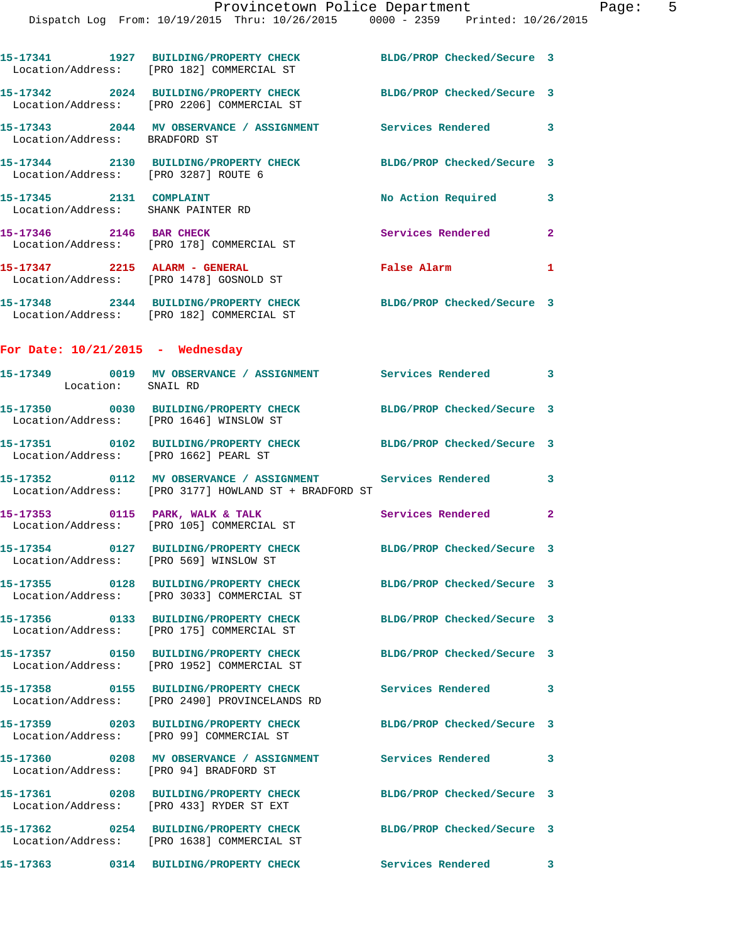|                                    | 15-17341 1927 BUILDING/PROPERTY CHECK<br>Location/Address: [PRO 182] COMMERCIAL ST                            | BLDG/PROP Checked/Secure 3 |                         |
|------------------------------------|---------------------------------------------------------------------------------------------------------------|----------------------------|-------------------------|
|                                    | 15-17342 2024 BUILDING/PROPERTY CHECK<br>Location/Address: [PRO 2206] COMMERCIAL ST                           | BLDG/PROP Checked/Secure 3 |                         |
| Location/Address: BRADFORD ST      | 15-17343 2044 MV OBSERVANCE / ASSIGNMENT Services Rendered 3                                                  |                            |                         |
|                                    | 15-17344 2130 BUILDING/PROPERTY CHECK BLDG/PROP Checked/Secure 3<br>Location/Address: [PRO 3287] ROUTE 6      |                            |                         |
| 15-17345 2131 COMPLAINT            | Location/Address: SHANK PAINTER RD                                                                            | No Action Required 3       |                         |
|                                    | 15-17346 2146 BAR CHECK<br>Location/Address: [PRO 178] COMMERCIAL ST                                          | Services Rendered 2        |                         |
|                                    | 15-17347 2215 ALARM - GENERAL<br>Location/Address: [PRO 1478] GOSNOLD ST                                      | False Alarm 1              |                         |
|                                    | 15-17348 2344 BUILDING/PROPERTY CHECK BLDG/PROP Checked/Secure 3<br>Location/Address: [PRO 182] COMMERCIAL ST |                            |                         |
| For Date: $10/21/2015$ - Wednesday |                                                                                                               |                            |                         |
| Location: SNAIL RD                 | 15-17349 0019 MV OBSERVANCE / ASSIGNMENT Services Rendered 3                                                  |                            |                         |
|                                    | 15-17350 0030 BUILDING/PROPERTY CHECK BLDG/PROP Checked/Secure 3<br>Location/Address: [PRO 1646] WINSLOW ST   |                            |                         |
|                                    | 15-17351 0102 BUILDING/PROPERTY CHECK BLDG/PROP Checked/Secure 3<br>Location/Address: [PRO 1662] PEARL ST     |                            |                         |
|                                    | 15-17352 0112 MV OBSERVANCE / ASSIGNMENT<br>Location/Address: [PRO 3177] HOWLAND ST + BRADFORD ST             | Services Rendered 3        |                         |
|                                    | 15-17353 0115 PARK, WALK & TALK 6 Services Rendered 2<br>Location/Address: [PRO 105] COMMERCIAL ST            |                            |                         |
|                                    | 15-17354 0127 BUILDING/PROPERTY CHECK<br>Location/Address: [PRO 569] WINSLOW ST                               | BLDG/PROP Checked/Secure 3 |                         |
| Location/Address:                  | 15-17355 0128 BUILDING/PROPERTY CHECK<br>[PRO 3033] COMMERCIAL ST                                             | BLDG/PROP Checked/Secure 3 |                         |
|                                    | 15-17356 0133 BUILDING/PROPERTY CHECK<br>Location/Address: [PRO 175] COMMERCIAL ST                            | BLDG/PROP Checked/Secure 3 |                         |
|                                    | 15-17357 0150 BUILDING/PROPERTY CHECK<br>Location/Address: [PRO 1952] COMMERCIAL ST                           | BLDG/PROP Checked/Secure 3 |                         |
|                                    | 15-17358 0155 BUILDING/PROPERTY CHECK<br>Location/Address: [PRO 2490] PROVINCELANDS RD                        | Services Rendered          | $\overline{\mathbf{3}}$ |
|                                    | 15-17359 0203 BUILDING/PROPERTY CHECK<br>Location/Address: [PRO 99] COMMERCIAL ST                             | BLDG/PROP Checked/Secure 3 |                         |
|                                    | 15-17360  0208 MV OBSERVANCE / ASSIGNMENT  Services Rendered<br>Location/Address: [PRO 94] BRADFORD ST        |                            | 3                       |
|                                    | 15-17361 0208 BUILDING/PROPERTY CHECK<br>Location/Address: [PRO 433] RYDER ST EXT                             | BLDG/PROP Checked/Secure 3 |                         |
|                                    | 15-17362 0254 BUILDING/PROPERTY CHECK<br>Location/Address: [PRO 1638] COMMERCIAL ST                           | BLDG/PROP Checked/Secure 3 |                         |
| 15-17363                           | 0314 BUILDING/PROPERTY CHECK                                                                                  | <b>Services Rendered</b>   | 3                       |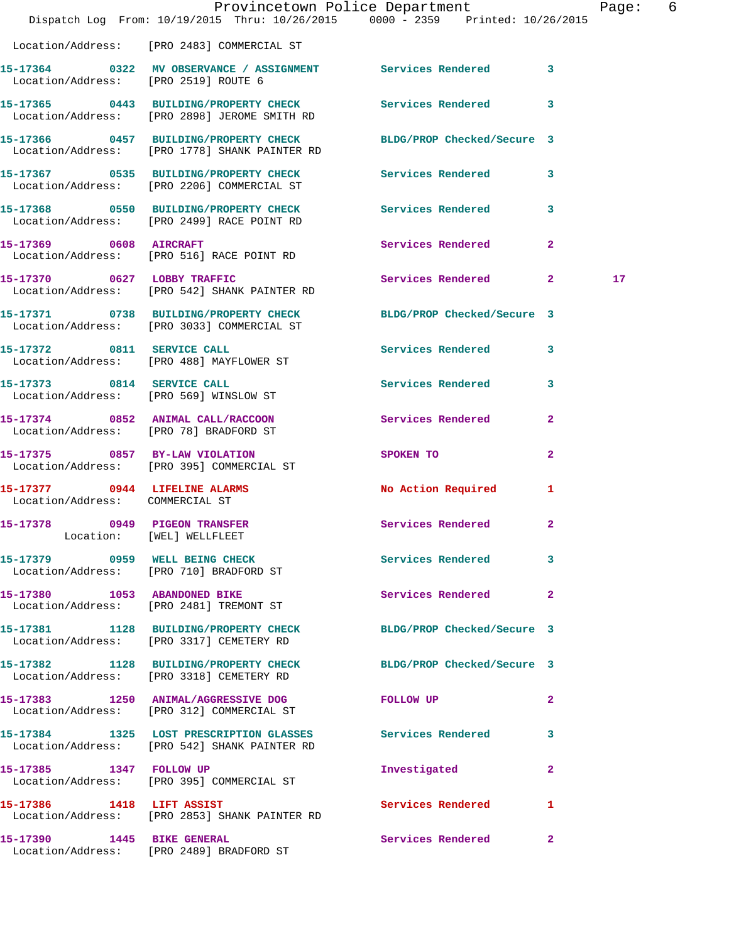|                                        | Dispatch Log From: 10/19/2015 Thru: 10/26/2015 0000 - 2359 Printed: 10/26/2015                                    | Provincetown Police Department          |              | Page: 6 |  |
|----------------------------------------|-------------------------------------------------------------------------------------------------------------------|-----------------------------------------|--------------|---------|--|
|                                        | Location/Address: [PRO 2483] COMMERCIAL ST                                                                        |                                         |              |         |  |
| Location/Address: [PRO 2519] ROUTE 6   | 15-17364 0322 MV OBSERVANCE / ASSIGNMENT Services Rendered 3                                                      |                                         |              |         |  |
|                                        | 15-17365 0443 BUILDING/PROPERTY CHECK Services Rendered 3<br>Location/Address: [PRO 2898] JEROME SMITH RD         |                                         |              |         |  |
|                                        | 15-17366 0457 BUILDING/PROPERTY CHECK BLDG/PROP Checked/Secure 3<br>Location/Address: [PRO 1778] SHANK PAINTER RD |                                         |              |         |  |
|                                        | 15-17367 0535 BUILDING/PROPERTY CHECK<br>Location/Address: [PRO 2206] COMMERCIAL ST                               | Services Rendered 3                     |              |         |  |
|                                        | 15-17368 0550 BUILDING/PROPERTY CHECK Services Rendered 3<br>Location/Address: [PRO 2499] RACE POINT RD           |                                         |              |         |  |
|                                        | 15-17369 0608 AIRCRAFT<br>Location/Address: [PRO 516] RACE POINT RD                                               | Services Rendered                       | $\mathbf{2}$ |         |  |
|                                        | 15-17370 0627 LOBBY TRAFFIC<br>Location/Address: [PRO 542] SHANK PAINTER RD                                       | Services Rendered 2                     |              | 17      |  |
|                                        | 15-17371 0738 BUILDING/PROPERTY CHECK<br>Location/Address: [PRO 3033] COMMERCIAL ST                               | BLDG/PROP Checked/Secure 3              |              |         |  |
|                                        | 15-17372 0811 SERVICE CALL<br>Location/Address: [PRO 488] MAYFLOWER ST                                            | Services Rendered 3                     |              |         |  |
|                                        | 15-17373 0814 SERVICE CALL<br>Location/Address: [PRO 569] WINSLOW ST                                              | Services Rendered 3                     |              |         |  |
| Location/Address: [PRO 78] BRADFORD ST | 15-17374 0852 ANIMAL CALL/RACCOON                                                                                 | Services Rendered                       | $\mathbf{2}$ |         |  |
| 15-17375 0857 BY-LAW VIOLATION         | Location/Address: [PRO 395] COMMERCIAL ST                                                                         | SPOKEN TO DESCRIPTION OF REAL PROPERTY. | $\mathbf{2}$ |         |  |
| Location/Address: COMMERCIAL ST        | 15-17377 0944 LIFELINE ALARMS                                                                                     | No Action Required                      | 1            |         |  |
| 15-17378 0949 PIGEON TRANSFER          | Location: [WEL] WELLFLEET                                                                                         | Services Rendered 2                     |              |         |  |
|                                        | 15-17379 0959 WELL BEING CHECK<br>Location/Address: [PRO 710] BRADFORD ST                                         | Services Rendered 3                     |              |         |  |
|                                        | 15-17380 1053 ABANDONED BIKE<br>Location/Address: [PRO 2481] TREMONT ST                                           | Services Rendered 2                     |              |         |  |
|                                        | 15-17381 1128 BUILDING/PROPERTY CHECK BLDG/PROP Checked/Secure 3<br>Location/Address: [PRO 3317] CEMETERY RD      |                                         |              |         |  |
|                                        | 15-17382 1128 BUILDING/PROPERTY CHECK<br>Location/Address: [PRO 3318] CEMETERY RD                                 | BLDG/PROP Checked/Secure 3              |              |         |  |
|                                        | 15-17383 1250 ANIMAL/AGGRESSIVE DOG<br>Location/Address: [PRO 312] COMMERCIAL ST                                  | FOLLOW UP                               | $\mathbf{2}$ |         |  |
|                                        | 15-17384 1325 LOST PRESCRIPTION GLASSES Services Rendered 3<br>Location/Address: [PRO 542] SHANK PAINTER RD       |                                         |              |         |  |
|                                        | 15-17385 1347 FOLLOW UP<br>Location/Address: [PRO 395] COMMERCIAL ST                                              | Investigated                            | $\mathbf{2}$ |         |  |
| 15-17386 1418 LIFT ASSIST              | Location/Address: [PRO 2853] SHANK PAINTER RD                                                                     | Services Rendered                       | $\mathbf{1}$ |         |  |
|                                        | 15-17390 1445 BIKE GENERAL<br>Location/Address: [PRO 2489] BRADFORD ST                                            | Services Rendered                       | $\mathbf{2}$ |         |  |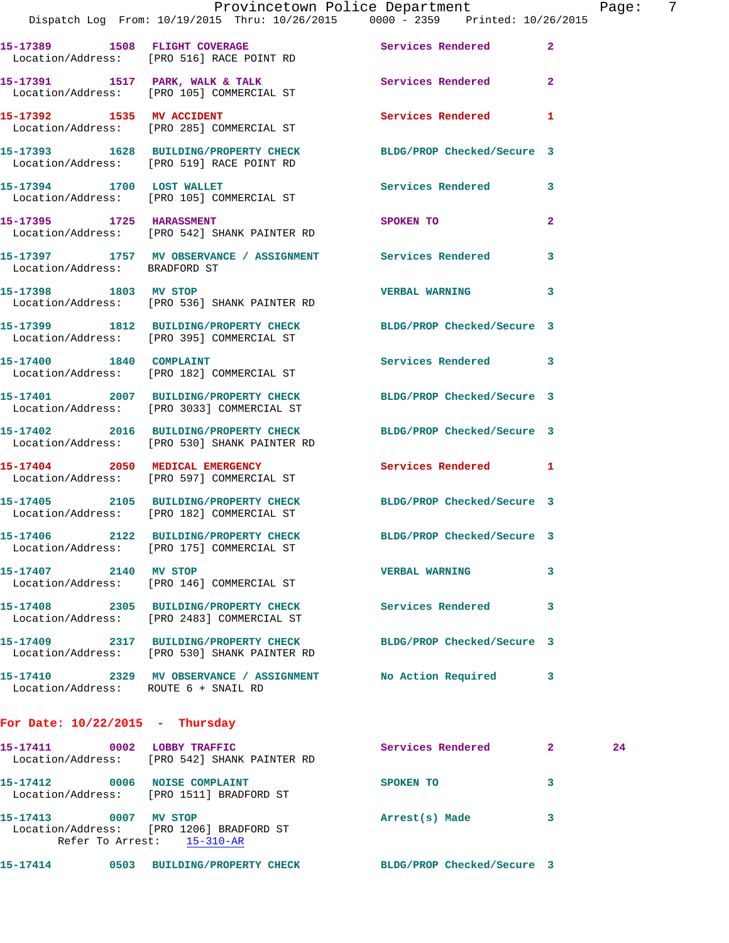|                                      | Provincetown Police Department<br>Dispatch Log From: 10/19/2015 Thru: 10/26/2015 0000 - 2359 Printed: 10/26/2015      |                                         |                | Page |
|--------------------------------------|-----------------------------------------------------------------------------------------------------------------------|-----------------------------------------|----------------|------|
|                                      | 15-17389 1508 FLIGHT COVERAGE Services Rendered<br>Location/Address: [PRO 516] RACE POINT RD                          |                                         | $\overline{2}$ |      |
|                                      | 15-17391 1517 PARK, WALK & TALK 1997 Services Rendered<br>Location/Address: [PRO 105] COMMERCIAL ST                   |                                         | $\overline{2}$ |      |
|                                      | 15-17392 1535 MV ACCIDENT<br>Location/Address: [PRO 285] COMMERCIAL ST                                                | <b>Services Rendered</b>                | 1              |      |
|                                      | 15-17393 1628 BUILDING/PROPERTY CHECK BLDG/PROP Checked/Secure 3<br>Location/Address: [PRO 519] RACE POINT RD         |                                         |                |      |
|                                      | 15-17394 1700 LOST WALLET<br>Location/Address: [PRO 105] COMMERCIAL ST                                                | Services Rendered                       | 3              |      |
|                                      | 15-17395 1725 HARASSMENT<br>Location/Address: [PRO 542] SHANK PAINTER RD                                              | SPOKEN TO DESCRIPTION OF REAL PROPERTY. | $\overline{2}$ |      |
|                                      | 15-17397 1757 MV OBSERVANCE / ASSIGNMENT Services Rendered<br>Location/Address: BRADFORD ST                           |                                         | 3              |      |
|                                      | 15-17398 1803 MV STOP<br>Location/Address: [PRO 536] SHANK PAINTER RD                                                 | <b>VERBAL WARNING</b>                   | 3              |      |
|                                      | 15-17399   1812   BUILDING/PROPERTY CHECK   BLDG/PROP Checked/Secure   3<br>Location/Address: [PRO 395] COMMERCIAL ST |                                         |                |      |
|                                      | 15-17400   1840   COMPLAINT<br>Location/Address: [PRO 182] COMMERCIAL ST                                              | Services Rendered                       | 3              |      |
|                                      | 15-17401 2007 BUILDING/PROPERTY CHECK BLDG/PROP Checked/Secure 3<br>Location/Address: [PRO 3033] COMMERCIAL ST        |                                         |                |      |
|                                      | 15-17402 2016 BUILDING/PROPERTY CHECK BLDG/PROP Checked/Secure 3<br>Location/Address: [PRO 530] SHANK PAINTER RD      |                                         |                |      |
|                                      | 15-17404 2050 MEDICAL EMERGENCY<br>Location/Address: [PRO 597] COMMERCIAL ST                                          | Services Rendered 1                     |                |      |
|                                      | 15-17405 2105 BUILDING/PROPERTY CHECK BLDG/PROP Checked/Secure 3<br>Location/Address: [PRO 182] COMMERCIAL ST         |                                         |                |      |
|                                      | 15-17406 2122 BUILDING/PROPERTY CHECK<br>Location/Address: [PRO 175] COMMERCIAL ST                                    | BLDG/PROP Checked/Secure 3              |                |      |
| 15-17407 2140 MV STOP                | Location/Address: [PRO 146] COMMERCIAL ST                                                                             | <b>VERBAL WARNING</b>                   | 3              |      |
|                                      | 15-17408 2305 BUILDING/PROPERTY CHECK<br>Location/Address: [PRO 2483] COMMERCIAL ST                                   | Services Rendered                       | 3              |      |
|                                      | 15-17409 2317 BUILDING/PROPERTY CHECK BLDG/PROP Checked/Secure 3<br>Location/Address: [PRO 530] SHANK PAINTER RD      |                                         |                |      |
| Location/Address: ROUTE 6 + SNAIL RD | 15-17410 2329 MV OBSERVANCE / ASSIGNMENT No Action Required                                                           |                                         | 3              |      |
| For Date: $10/22/2015$ - Thursday    |                                                                                                                       |                                         |                |      |
| 15-17411 0002 LOBBY TRAFFIC          | Location/Address: [PRO 542] SHANK PAINTER RD                                                                          | Services Rendered                       | $\mathbf{2}$   | 24   |
| 15-17412 0006 NOISE COMPLAINT        | Location/Address: [PRO 1511] BRADFORD ST                                                                              | SPOKEN TO                               | 3              |      |
| 15-17413 0007 MV STOP                | Location/Address: [PRO 1206] BRADFORD ST<br>Refer To Arrest: 15-310-AR                                                | Arrest(s) Made                          | 3              |      |
|                                      |                                                                                                                       |                                         |                |      |

**15-17414 0503 BUILDING/PROPERTY CHECK BLDG/PROP Checked/Secure 3** 

age: 7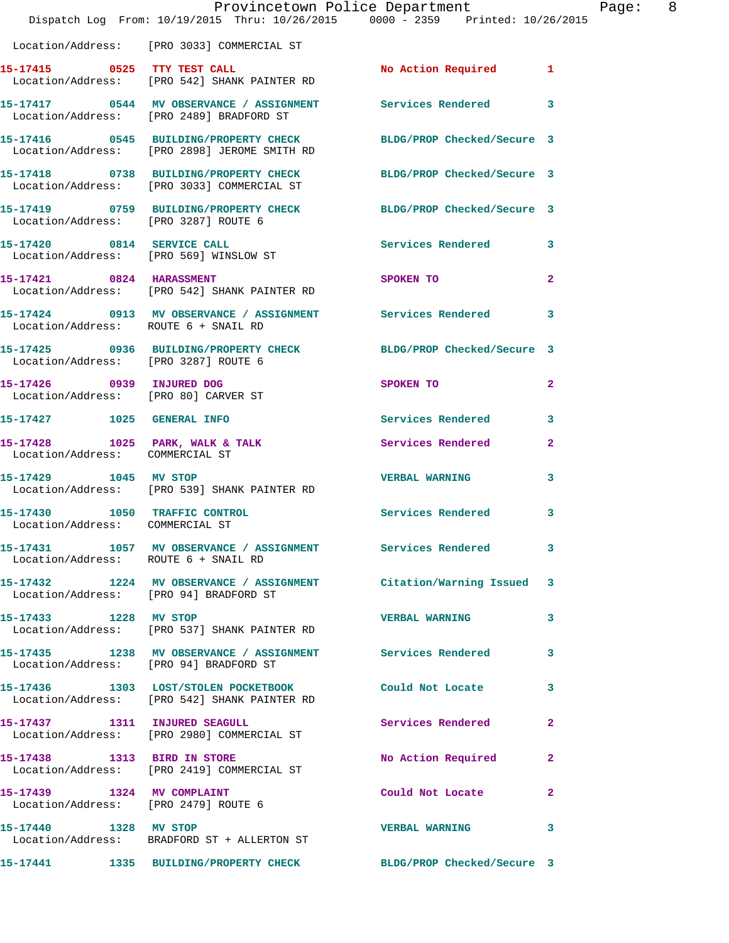|                                                                  | Provincetown Police Department The Rage: 8<br>Dispatch Log From: 10/19/2015 Thru: 10/26/2015 0000 - 2359 Printed: 10/26/2015 |                       |                |
|------------------------------------------------------------------|------------------------------------------------------------------------------------------------------------------------------|-----------------------|----------------|
|                                                                  | Location/Address: [PRO 3033] COMMERCIAL ST                                                                                   |                       |                |
|                                                                  | 15-17415 0525 TTY TEST CALL<br>Location/Address: [PRO 542] SHANK PAINTER RD                                                  | No Action Required 1  |                |
|                                                                  | 15-17417 0544 MV OBSERVANCE / ASSIGNMENT Services Rendered 3<br>Location/Address: [PRO 2489] BRADFORD ST                     |                       |                |
|                                                                  | 15-17416 0545 BUILDING/PROPERTY CHECK BLDG/PROP Checked/Secure 3<br>Location/Address: [PRO 2898] JEROME SMITH RD             |                       |                |
|                                                                  | 15-17418 0738 BUILDING/PROPERTY CHECK BLDG/PROP Checked/Secure 3<br>Location/Address: [PRO 3033] COMMERCIAL ST               |                       |                |
|                                                                  | 15-17419 0759 BUILDING/PROPERTY CHECK BLDG/PROP Checked/Secure 3<br>Location/Address: [PRO 3287] ROUTE 6                     |                       |                |
|                                                                  | 15-17420 0814 SERVICE CALL<br>Location/Address: [PRO 569] WINSLOW ST                                                         | Services Rendered 3   |                |
|                                                                  | 15-17421 0824 HARASSMENT<br>Location/Address: [PRO 542] SHANK PAINTER RD                                                     | SPOKEN TO             | $\mathbf{2}$   |
| Location/Address: ROUTE 6 + SNAIL RD                             | 15-17424 0913 MV OBSERVANCE / ASSIGNMENT Services Rendered 3                                                                 |                       |                |
| Location/Address: [PRO 3287] ROUTE 6                             | 15-17425 0936 BUILDING/PROPERTY CHECK BLDG/PROP Checked/Secure 3                                                             |                       |                |
| Location/Address: [PRO 80] CARVER ST                             | 15-17426 0939 INJURED DOG                                                                                                    | SPOKEN TO             | $\overline{2}$ |
|                                                                  | 15-17427 1025 GENERAL INFO                                                                                                   | Services Rendered 3   |                |
| Location/Address: COMMERCIAL ST                                  | 15-17428 1025 PARK, WALK & TALK 1988 Services Rendered                                                                       |                       | $\overline{2}$ |
|                                                                  | 15-17429 1045 MV STOP<br>Location/Address: [PRO 539] SHANK PAINTER RD                                                        | VERBAL WARNING 3      |                |
| 15-17430 1050 TRAFFIC CONTROL<br>Location/Address: COMMERCIAL ST |                                                                                                                              | Services Rendered 3   |                |
| Location/Address: ROUTE 6 + SNAIL RD                             | 15-17431 1057 MV OBSERVANCE / ASSIGNMENT Services Rendered 3                                                                 |                       |                |
|                                                                  | 15-17432 1224 MV OBSERVANCE / ASSIGNMENT Citation/Warning Issued 3<br>Location/Address: [PRO 94] BRADFORD ST                 |                       |                |
|                                                                  | 15-17433 1228 MV STOP<br>Location/Address: [PRO 537] SHANK PAINTER RD                                                        | <b>VERBAL WARNING</b> | 3              |
|                                                                  | 15-17435 1238 MV OBSERVANCE / ASSIGNMENT Services Rendered 3<br>Location/Address: [PRO 94] BRADFORD ST                       |                       |                |
|                                                                  | 15-17436 1303 LOST/STOLEN POCKETBOOK Could Not Locate 3<br>Location/Address: [PRO 542] SHANK PAINTER RD                      |                       |                |
| 15-17437 1311 INJURED SEAGULL                                    | Location/Address: [PRO 2980] COMMERCIAL ST                                                                                   | Services Rendered 2   |                |
|                                                                  | 15-17438 1313 BIRD IN STORE<br>Location/Address: [PRO 2419] COMMERCIAL ST                                                    | No Action Required    | $\mathbf{2}$   |
| 15-17439 1324 MV COMPLAINT                                       | Location/Address: [PRO 2479] ROUTE 6                                                                                         | Could Not Locate      | $\mathbf{2}$   |
| 15-17440 1328 MV STOP                                            | Location/Address: BRADFORD ST + ALLERTON ST                                                                                  | VERBAL WARNING 3      |                |
|                                                                  | 15-17441 1335 BUILDING/PROPERTY CHECK BLDG/PROP Checked/Secure 3                                                             |                       |                |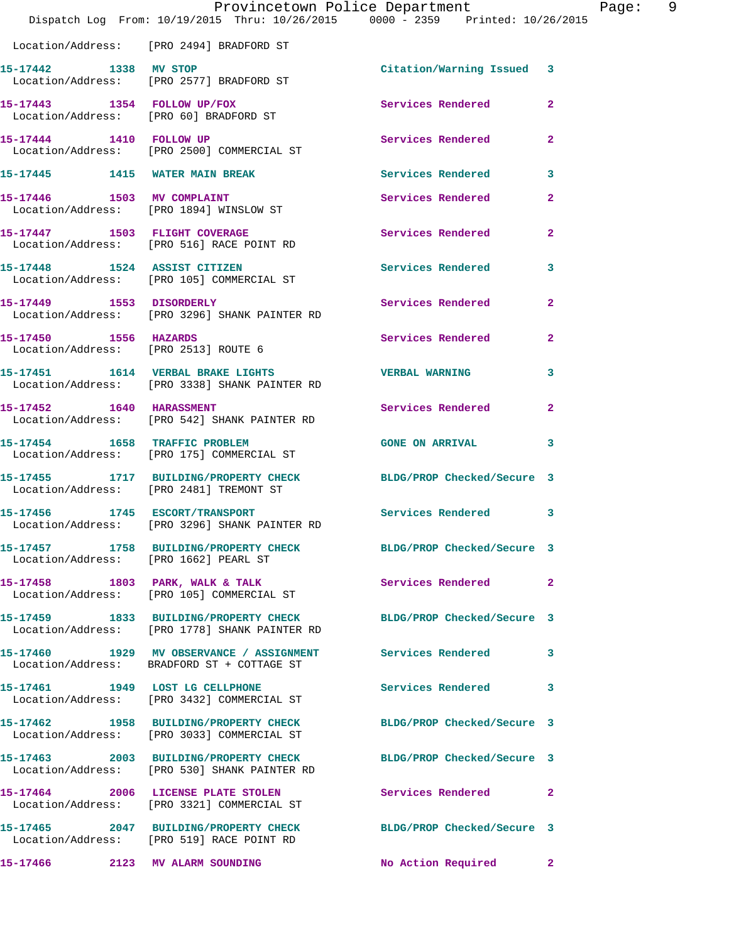|                                       | Provincetown Police Department<br>Dispatch Log From: 10/19/2015 Thru: 10/26/2015 0000 - 2359 Printed: 10/26/2015  |                            | Page: 9        |
|---------------------------------------|-------------------------------------------------------------------------------------------------------------------|----------------------------|----------------|
|                                       | Location/Address: [PRO 2494] BRADFORD ST                                                                          |                            |                |
| 15-17442 1338 MV STOP                 | Location/Address: [PRO 2577] BRADFORD ST                                                                          | Citation/Warning Issued 3  |                |
|                                       | 15-17443 1354 FOLLOW UP/FOX<br>Location/Address: [PRO 60] BRADFORD ST                                             | Services Rendered          | $\mathbf{2}$   |
| 15-17444 1410 FOLLOW UP               | Location/Address: [PRO 2500] COMMERCIAL ST                                                                        | <b>Services Rendered</b>   | $\overline{2}$ |
|                                       | 15-17445 1415 WATER MAIN BREAK                                                                                    | Services Rendered          | 3              |
|                                       | 15-17446 1503 MV COMPLAINT<br>Location/Address: [PRO 1894] WINSLOW ST                                             | Services Rendered          | $\overline{2}$ |
|                                       | 15-17447 1503 FLIGHT COVERAGE<br>Location/Address: [PRO 516] RACE POINT RD                                        | <b>Services Rendered</b>   | $\mathbf{2}$   |
|                                       | 15-17448 1524 ASSIST CITIZEN<br>Location/Address: [PRO 105] COMMERCIAL ST                                         | Services Rendered          | 3              |
|                                       | 15-17449 1553 DISORDERLY<br>Location/Address: [PRO 3296] SHANK PAINTER RD                                         | Services Rendered          | $\mathbf{2}$   |
| 15-17450 1556 HAZARDS                 | Location/Address: [PRO 2513] ROUTE 6                                                                              | Services Rendered          | $\mathbf{2}$   |
|                                       |                                                                                                                   | <b>VERBAL WARNING</b>      | 3              |
| 15-17452 1640 HARASSMENT              | Location/Address: [PRO 542] SHANK PAINTER RD                                                                      | Services Rendered          | $\mathbf{2}$   |
|                                       | 15-17454 1658 TRAFFIC PROBLEM<br>Location/Address: [PRO 175] COMMERCIAL ST                                        | <b>GONE ON ARRIVAL</b>     | 3              |
|                                       | 15-17455 1717 BUILDING/PROPERTY CHECK BLDG/PROP Checked/Secure 3<br>Location/Address: [PRO 2481] TREMONT ST       |                            |                |
|                                       | 15-17456 1745 ESCORT/TRANSPORT<br>Location/Address: [PRO 3296] SHANK PAINTER RD                                   | Services Rendered 3        |                |
| Location/Address: [PRO 1662] PEARL ST | 15-17457 1758 BUILDING/PROPERTY CHECK BLDG/PROP Checked/Secure 3                                                  |                            |                |
|                                       | 15-17458 1803 PARK, WALK & TALK<br>Location/Address: [PRO 105] COMMERCIAL ST                                      | Services Rendered 2        |                |
|                                       | 15-17459 1833 BUILDING/PROPERTY CHECK BLDG/PROP Checked/Secure 3<br>Location/Address: [PRO 1778] SHANK PAINTER RD |                            |                |
|                                       | 15-17460 1929 MV OBSERVANCE / ASSIGNMENT Services Rendered<br>Location/Address: BRADFORD ST + COTTAGE ST          |                            | 3              |
|                                       | 15-17461 1949 LOST LG CELLPHONE<br>Location/Address: [PRO 3432] COMMERCIAL ST                                     | Services Rendered 3        |                |
|                                       | 15-17462 1958 BUILDING/PROPERTY CHECK<br>Location/Address: [PRO 3033] COMMERCIAL ST                               | BLDG/PROP Checked/Secure 3 |                |
|                                       | 15-17463 2003 BUILDING/PROPERTY CHECK BLDG/PROP Checked/Secure 3<br>Location/Address: [PRO 530] SHANK PAINTER RD  |                            |                |
|                                       | 15-17464 2006 LICENSE PLATE STOLEN<br>Location/Address: [PRO 3321] COMMERCIAL ST                                  | Services Rendered          | $\mathbf{2}$   |
|                                       | 15-17465 2047 BUILDING/PROPERTY CHECK BLDG/PROP Checked/Secure 3<br>Location/Address: [PRO 519] RACE POINT RD     |                            |                |
| 15-17466 2123 MV ALARM SOUNDING       |                                                                                                                   | No Action Required         | $\mathbf{2}$   |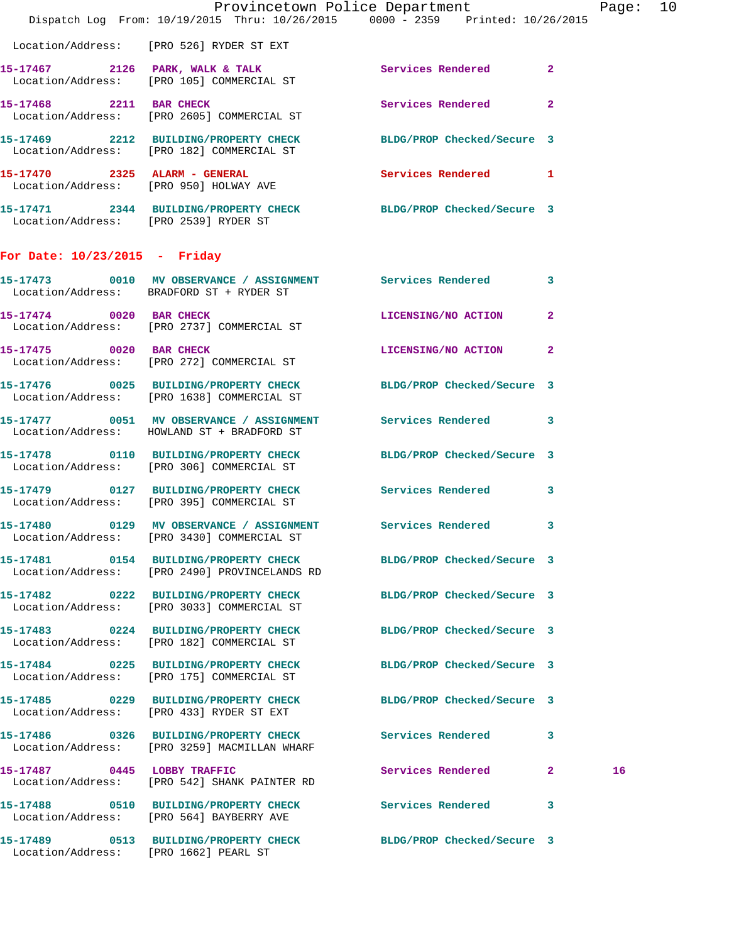|                                       | Provincetown Police Department<br>Dispatch Log From: 10/19/2015 Thru: 10/26/2015 0000 - 2359 Printed: 10/26/2015  |                            |              | Page: 10 |  |
|---------------------------------------|-------------------------------------------------------------------------------------------------------------------|----------------------------|--------------|----------|--|
|                                       |                                                                                                                   |                            |              |          |  |
|                                       | Location/Address: [PRO 526] RYDER ST EXT                                                                          |                            |              |          |  |
|                                       | 15-17467 2126 PARK, WALK & TALK 3 Services Rendered 2<br>Location/Address: [PRO 105] COMMERCIAL ST                |                            |              |          |  |
| 15-17468 2211 BAR CHECK               | Location/Address: [PRO 2605] COMMERCIAL ST                                                                        | <b>Services Rendered</b> 2 |              |          |  |
|                                       | 15-17469 2212 BUILDING/PROPERTY CHECK BLDG/PROP Checked/Secure 3<br>Location/Address: [PRO 182] COMMERCIAL ST     |                            |              |          |  |
|                                       | 15-17470 2325 ALARM - GENERAL<br>Location/Address: [PRO 950] HOLWAY AVE                                           | Services Rendered 1        |              |          |  |
| Location/Address: [PRO 2539] RYDER ST | 15-17471 2344 BUILDING/PROPERTY CHECK BLDG/PROP Checked/Secure 3                                                  |                            |              |          |  |
| For Date: $10/23/2015$ - Friday       |                                                                                                                   |                            |              |          |  |
|                                       | 15-17473 0010 MV OBSERVANCE / ASSIGNMENT Services Rendered 3<br>Location/Address: BRADFORD ST + RYDER ST          |                            |              |          |  |
|                                       | 15-17474 0020 BAR CHECK<br>Location/Address: [PRO 2737] COMMERCIAL ST                                             | LICENSING/NO ACTION        | $\mathbf{2}$ |          |  |
|                                       | 15-17475 0020 BAR CHECK<br>Location/Address: [PRO 272] COMMERCIAL ST                                              | LICENSING/NO ACTION 2      |              |          |  |
|                                       | 15-17476 0025 BUILDING/PROPERTY CHECK BLDG/PROP Checked/Secure 3<br>Location/Address: [PRO 1638] COMMERCIAL ST    |                            |              |          |  |
|                                       | 15-17477 0051 MV OBSERVANCE / ASSIGNMENT Services Rendered 3<br>Location/Address: HOWLAND ST + BRADFORD ST        |                            |              |          |  |
|                                       | 15-17478 0110 BUILDING/PROPERTY CHECK BLDG/PROP Checked/Secure 3<br>Location/Address: [PRO 306] COMMERCIAL ST     |                            |              |          |  |
|                                       | 15-17479 0127 BUILDING/PROPERTY CHECK Services Rendered 3<br>Location/Address: [PRO 395] COMMERCIAL ST            |                            |              |          |  |
|                                       | 15-17480 0129 MV OBSERVANCE / ASSIGNMENT Services Rendered<br>Location/Address: [PRO 3430] COMMERCIAL ST          |                            | 3            |          |  |
|                                       | 15-17481 0154 BUILDING/PROPERTY CHECK BLDG/PROP Checked/Secure 3<br>Location/Address: [PRO 2490] PROVINCELANDS RD |                            |              |          |  |
|                                       | 15-17482 0222 BUILDING/PROPERTY CHECK BLDG/PROP Checked/Secure 3<br>Location/Address: [PRO 3033] COMMERCIAL ST    |                            |              |          |  |
|                                       | 15-17483 0224 BUILDING/PROPERTY CHECK<br>Location/Address: [PRO 182] COMMERCIAL ST                                | BLDG/PROP Checked/Secure 3 |              |          |  |
|                                       | 15-17484 0225 BUILDING/PROPERTY CHECK BLDG/PROP Checked/Secure 3<br>Location/Address: [PRO 175] COMMERCIAL ST     |                            |              |          |  |
|                                       | 15-17485 0229 BUILDING/PROPERTY CHECK<br>Location/Address: [PRO 433] RYDER ST EXT                                 | BLDG/PROP Checked/Secure 3 |              |          |  |
|                                       | 15-17486 0326 BUILDING/PROPERTY CHECK Services Rendered 3<br>Location/Address: [PRO 3259] MACMILLAN WHARF         |                            |              |          |  |
| 15-17487 0445 LOBBY TRAFFIC           | Location/Address: [PRO 542] SHANK PAINTER RD                                                                      | Services Rendered 2        |              | 16       |  |
|                                       | 15-17488 0510 BUILDING/PROPERTY CHECK Services Rendered<br>Location/Address: [PRO 564] BAYBERRY AVE               |                            | 3            |          |  |
|                                       | 15-17489 0513 BUILDING/PROPERTY CHECK BLDG/PROP Checked/Secure 3                                                  |                            |              |          |  |

Location/Address: [PRO 1662] PEARL ST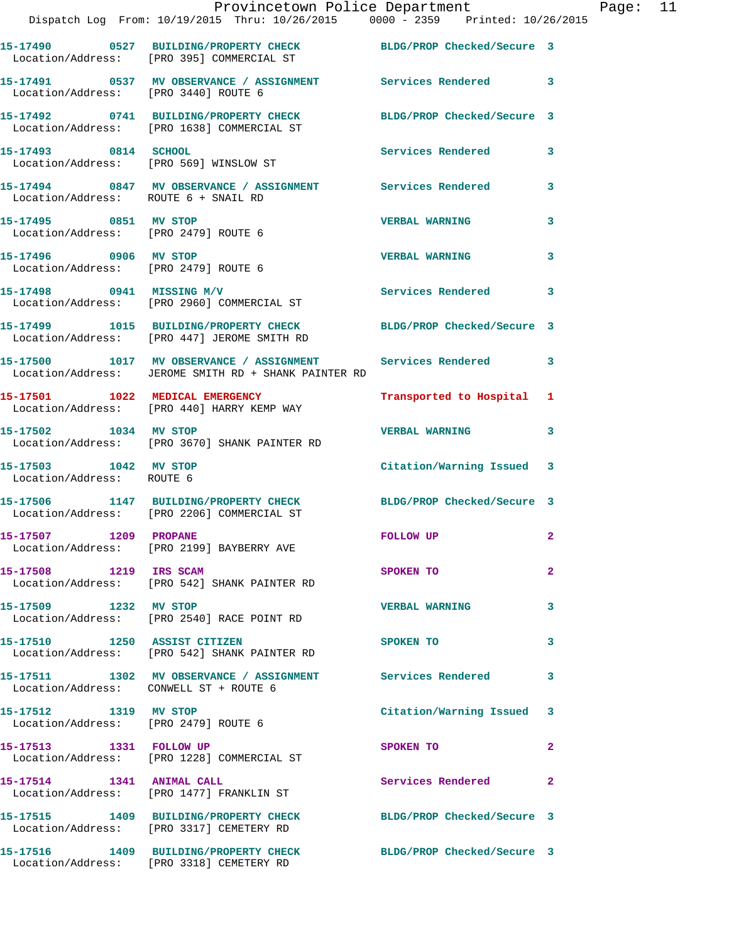|                                                               | Provincetown Police Department<br>Dispatch Log From: 10/19/2015 Thru: 10/26/2015 0000 - 2359 Printed: 10/26/2015   |                            |                |
|---------------------------------------------------------------|--------------------------------------------------------------------------------------------------------------------|----------------------------|----------------|
|                                                               | 15-17490 0527 BUILDING/PROPERTY CHECK BLDG/PROP Checked/Secure 3<br>Location/Address: [PRO 395] COMMERCIAL ST      |                            |                |
| Location/Address: [PRO 3440] ROUTE 6                          | 15-17491 0537 MV OBSERVANCE / ASSIGNMENT Services Rendered                                                         |                            | 3              |
|                                                               | 15-17492 0741 BUILDING/PROPERTY CHECK<br>Location/Address: [PRO 1638] COMMERCIAL ST                                | BLDG/PROP Checked/Secure 3 |                |
| 15-17493 0814 SCHOOL                                          | Location/Address: [PRO 569] WINSLOW ST                                                                             | Services Rendered          | 3              |
| Location/Address: ROUTE 6 + SNAIL RD                          | 15-17494 0847 MV OBSERVANCE / ASSIGNMENT Services Rendered                                                         |                            | 3              |
| 15-17495 0851 MV STOP<br>Location/Address: [PRO 2479] ROUTE 6 |                                                                                                                    | <b>VERBAL WARNING</b>      | 3              |
| 15-17496 0906 MV STOP<br>Location/Address: [PRO 2479] ROUTE 6 |                                                                                                                    | <b>VERBAL WARNING</b>      | 3              |
|                                                               | $15-17498$ 0941 MISSING M/V<br>Location/Address: [PRO 2960] COMMERCIAL ST                                          | <b>Services Rendered</b>   | 3              |
|                                                               | 15-17499 1015 BUILDING/PROPERTY CHECK<br>Location/Address: [PRO 447] JEROME SMITH RD                               | BLDG/PROP Checked/Secure 3 |                |
|                                                               | 15-17500 1017 MV OBSERVANCE / ASSIGNMENT Services Rendered<br>Location/Address: JEROME SMITH RD + SHANK PAINTER RD |                            | 3              |
|                                                               | 15-17501 1022 MEDICAL EMERGENCY<br>Location/Address: [PRO 440] HARRY KEMP WAY                                      | Transported to Hospital    | 1              |
| 15-17502 1034 MV STOP                                         | Location/Address: [PRO 3670] SHANK PAINTER RD                                                                      | <b>VERBAL WARNING</b>      | 3              |
| 15-17503 1042 MV STOP<br>Location/Address: ROUTE 6            |                                                                                                                    | Citation/Warning Issued    | 3              |
|                                                               | 15-17506 1147 BUILDING/PROPERTY CHECK BLDG/PROP Checked/Secure 3<br>Location/Address: [PRO 2206] COMMERCIAL ST     |                            |                |
| 15-17507 1209 PROPANE                                         | Location/Address: [PRO 2199] BAYBERRY AVE                                                                          | <b>FOLLOW UP</b>           |                |
| 15-17508 1219 IRS SCAM                                        | Location/Address: [PRO 542] SHANK PAINTER RD                                                                       | SPOKEN TO                  | $\overline{2}$ |
| 15-17509 1232 MV STOP                                         | Location/Address: [PRO 2540] RACE POINT RD                                                                         | <b>VERBAL WARNING</b>      | 3              |
| 15-17510 1250 ASSIST CITIZEN                                  | Location/Address: [PRO 542] SHANK PAINTER RD                                                                       | SPOKEN TO                  | 3              |
| Location/Address: CONWELL ST + ROUTE 6                        | 15-17511 1302 MV OBSERVANCE / ASSIGNMENT Services Rendered                                                         |                            | 3              |
| 15-17512 1319 MV STOP<br>Location/Address: [PRO 2479] ROUTE 6 |                                                                                                                    | Citation/Warning Issued    | 3              |
| 15-17513 1331 FOLLOW UP                                       | Location/Address: [PRO 1228] COMMERCIAL ST                                                                         | SPOKEN TO                  | $\overline{2}$ |
|                                                               | 15-17514 1341 ANIMAL CALL<br>Location/Address: [PRO 1477] FRANKLIN ST                                              | Services Rendered          | $\overline{a}$ |
|                                                               | 15-17515 1409 BUILDING/PROPERTY CHECK BLDG/PROP Checked/Secure 3<br>Location/Address: [PRO 3317] CEMETERY RD       |                            |                |
|                                                               | 15-17516 1409 BUILDING/PROPERTY CHECK<br>Location/Address: [PRO 3318] CEMETERY RD                                  | BLDG/PROP Checked/Secure 3 |                |

Page: 11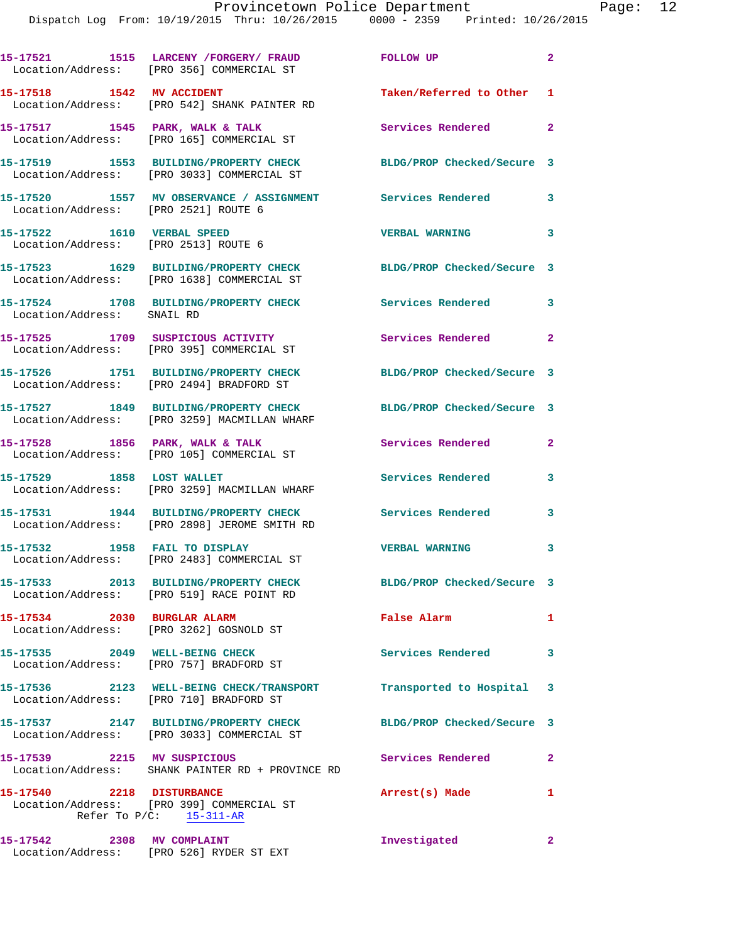|                                                                           | 15-17521 1515 LARCENY / FORGERY / FRAUD<br>Location/Address: [PRO 356] COMMERCIAL ST  | FOLLOW UP                  | $\mathbf{2}$               |
|---------------------------------------------------------------------------|---------------------------------------------------------------------------------------|----------------------------|----------------------------|
| 15-17518 1542 MV ACCIDENT                                                 | Location/Address: [PRO 542] SHANK PAINTER RD                                          | Taken/Referred to Other 1  |                            |
|                                                                           | 15-17517 1545 PARK, WALK & TALK<br>Location/Address: [PRO 165] COMMERCIAL ST          | <b>Services Rendered</b>   | $\overline{\phantom{0}}$ 2 |
|                                                                           | 15-17519 1553 BUILDING/PROPERTY CHECK<br>Location/Address: [PRO 3033] COMMERCIAL ST   | BLDG/PROP Checked/Secure 3 |                            |
| Location/Address: [PRO 2521] ROUTE 6                                      | 15-17520 1557 MV OBSERVANCE / ASSIGNMENT Services Rendered                            |                            | 3                          |
| 15-17522 1610 VERBAL SPEED<br>Location/Address: [PRO 2513] ROUTE 6        |                                                                                       | <b>VERBAL WARNING</b>      | $\overline{\mathbf{3}}$    |
|                                                                           | 15-17523 1629 BUILDING/PROPERTY CHECK<br>Location/Address: [PRO 1638] COMMERCIAL ST   | BLDG/PROP Checked/Secure 3 |                            |
| Location/Address: SNAIL RD                                                | 15-17524 1708 BUILDING/PROPERTY CHECK                                                 | <b>Services Rendered</b>   | $\mathbf{3}$               |
|                                                                           | 15-17525 1709 SUSPICIOUS ACTIVITY<br>Location/Address: [PRO 395] COMMERCIAL ST        | Services Rendered 2        |                            |
|                                                                           | 15-17526 1751 BUILDING/PROPERTY CHECK<br>Location/Address: [PRO 2494] BRADFORD ST     | BLDG/PROP Checked/Secure 3 |                            |
|                                                                           | 15-17527 1849 BUILDING/PROPERTY CHECK<br>Location/Address: [PRO 3259] MACMILLAN WHARF | BLDG/PROP Checked/Secure 3 |                            |
|                                                                           | 15-17528 1856 PARK, WALK & TALK<br>Location/Address: [PRO 105] COMMERCIAL ST          | Services Rendered          | $\overline{2}$             |
| 15-17529 1858 LOST WALLET                                                 | Location/Address: [PRO 3259] MACMILLAN WHARF                                          | Services Rendered          | 3                          |
|                                                                           | 15-17531 1944 BUILDING/PROPERTY CHECK<br>Location/Address: [PRO 2898] JEROME SMITH RD | Services Rendered          | 3                          |
| 15-17532 1958 FAIL TO DISPLAY                                             | Location/Address: [PRO 2483] COMMERCIAL ST                                            | <b>VERBAL WARNING</b>      | 3                          |
|                                                                           | 15-17533 2013 BUILDING/PROPERTY CHECK<br>Location/Address: [PRO 519] RACE POINT RD    | BLDG/PROP Checked/Secure 3 |                            |
| 15-17534 2030 BURGLAR ALARM<br>Location/Address: [PRO 3262] GOSNOLD ST    |                                                                                       | False Alarm                | $\mathbf{1}$               |
| 15-17535 2049 WELL-BEING CHECK<br>Location/Address: [PRO 757] BRADFORD ST |                                                                                       | Services Rendered 3        |                            |
|                                                                           | 15-17536 2123 WELL-BEING CHECK/TRANSPORT<br>Location/Address: [PRO 710] BRADFORD ST   | Transported to Hospital 3  |                            |
|                                                                           | 15-17537 2147 BUILDING/PROPERTY CHECK<br>Location/Address: [PRO 3033] COMMERCIAL ST   | BLDG/PROP Checked/Secure 3 |                            |
| 15-17539 2215 MV SUSPICIOUS                                               | Location/Address: SHANK PAINTER RD + PROVINCE RD                                      | Services Rendered          | $\mathbf{2}$               |
| 15-17540 2218 DISTURBANCE                                                 | Location/Address: [PRO 399] COMMERCIAL ST<br>Refer To $P/C$ : 15-311-AR               | Arrest(s) Made             | 1                          |
| 15-17542 2308 MV COMPLAINT                                                | Location/Address: [PRO 526] RYDER ST EXT                                              | Investigated               | $\mathbf{2}$               |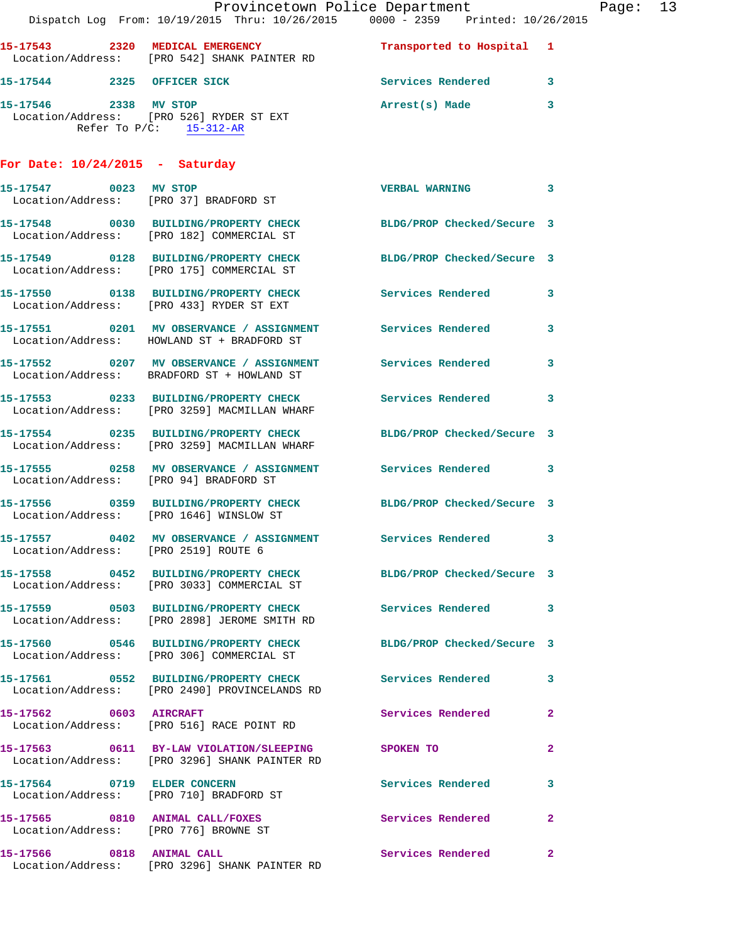|                                      | Dispatch Log From: 10/19/2015 Thru: 10/26/2015 0000 - 2359 Printed: 10/26/2015                                   | Provincetown Police Department |                | Page: 13 |  |
|--------------------------------------|------------------------------------------------------------------------------------------------------------------|--------------------------------|----------------|----------|--|
|                                      | 15-17543 2320 MEDICAL EMERGENCY<br>Location/Address: [PRO 542] SHANK PAINTER RD                                  | Transported to Hospital 1      |                |          |  |
|                                      | 15-17544 2325 OFFICER SICK                                                                                       | Services Rendered 3            |                |          |  |
|                                      | 15-17546 2338 MV STOP<br>Location/Address: [PRO 526] RYDER ST EXT<br>Refer To $P/C$ : 15-312-AR                  | Arrest(s) Made                 | 3              |          |  |
| For Date: $10/24/2015$ - Saturday    |                                                                                                                  |                                |                |          |  |
|                                      | 15-17547 0023 MV STOP<br>Location/Address: [PRO 37] BRADFORD ST                                                  | <b>VERBAL WARNING</b>          | 3              |          |  |
|                                      | 15-17548 0030 BUILDING/PROPERTY CHECK BLDG/PROP Checked/Secure 3<br>Location/Address: [PRO 182] COMMERCIAL ST    |                                |                |          |  |
|                                      | 15-17549 0128 BUILDING/PROPERTY CHECK<br>Location/Address: [PRO 175] COMMERCIAL ST                               | BLDG/PROP Checked/Secure 3     |                |          |  |
|                                      | 15-17550     0138 BUILDING/PROPERTY CHECK        Services Rendered<br>Location/Address:   [PRO 433] RYDER ST EXT |                                | 3              |          |  |
|                                      | 15-17551 0201 MV OBSERVANCE / ASSIGNMENT Services Rendered<br>Location/Address: HOWLAND ST + BRADFORD ST         |                                | 3              |          |  |
|                                      | 15-17552 0207 MV OBSERVANCE / ASSIGNMENT Services Rendered<br>Location/Address: BRADFORD ST + HOWLAND ST         |                                | 3              |          |  |
|                                      | 15-17553 0233 BUILDING/PROPERTY CHECK Services Rendered<br>Location/Address: [PRO 3259] MACMILLAN WHARF          |                                | 3              |          |  |
|                                      | 15-17554 0235 BUILDING/PROPERTY CHECK<br>Location/Address: [PRO 3259] MACMILLAN WHARF                            | BLDG/PROP Checked/Secure 3     |                |          |  |
|                                      | 15-17555 0258 MV OBSERVANCE / ASSIGNMENT Services Rendered 3<br>Location/Address: [PRO 94] BRADFORD ST           |                                |                |          |  |
|                                      | 15-17556 0359 BUILDING/PROPERTY CHECK BLDG/PROP Checked/Secure 3<br>Location/Address: [PRO 1646] WINSLOW ST      |                                |                |          |  |
| Location/Address: [PRO 2519] ROUTE 6 | 15-17557 0402 MV OBSERVANCE / ASSIGNMENT                                                                         | Services Rendered 3            |                |          |  |
|                                      | 15-17558 0452 BUILDING/PROPERTY CHECK BLDG/PROP Checked/Secure 3<br>Location/Address: [PRO 3033] COMMERCIAL ST   |                                |                |          |  |
|                                      |                                                                                                                  | Services Rendered 3            |                |          |  |
|                                      | 15-17560 0546 BUILDING/PROPERTY CHECK<br>Location/Address: [PRO 306] COMMERCIAL ST                               | BLDG/PROP Checked/Secure 3     |                |          |  |
|                                      | 15-17561 0552 BUILDING/PROPERTY CHECK Services Rendered<br>Location/Address: [PRO 2490] PROVINCELANDS RD         |                                | 3              |          |  |
| 15-17562 0603 AIRCRAFT               | Location/Address: [PRO 516] RACE POINT RD                                                                        | Services Rendered              | $\mathbf{2}$   |          |  |
|                                      | 15-17563 0611 BY-LAW VIOLATION/SLEEPING SPOKEN TO<br>Location/Address: [PRO 3296] SHANK PAINTER RD               |                                | $\mathbf{2}$   |          |  |
|                                      | 15-17564 0719 ELDER CONCERN<br>Location/Address: [PRO 710] BRADFORD ST                                           | <b>Services Rendered</b>       | 3              |          |  |
|                                      | 15-17565 0810 ANIMAL CALL/FOXES<br>Location/Address: [PRO 776] BROWNE ST                                         | <b>Services Rendered</b>       | $\overline{2}$ |          |  |
|                                      | 15-17566 0818 ANIMAL CALL<br>Location/Address: [PRO 3296] SHANK PAINTER RD                                       | Services Rendered              | $\mathbf{2}$   |          |  |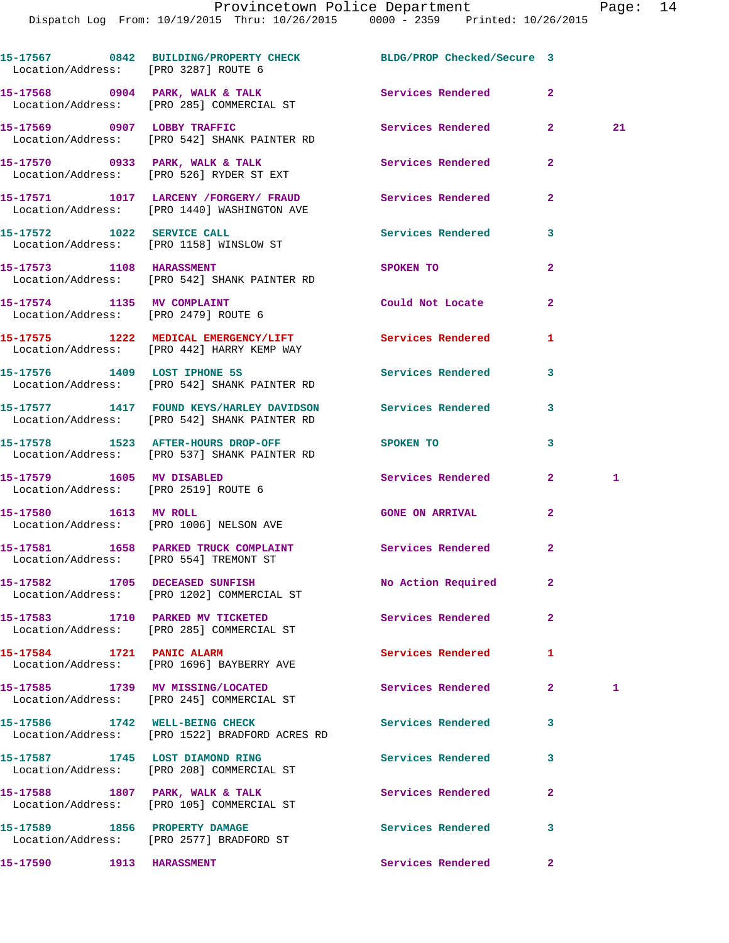Dispatch Log From: 10/19/2015 Thru: 10/26/2015 0000 - 2359 Printed: 10/26/2015

**15-17567 0842 BUILDING/PROPERTY CHECK BLDG/PROP Checked/Secure 3**  Location/Address: [PRO 3287] ROUTE 6 15-17568 0904 PARK, WALK & TALK **Services Rendered** 2 Location/Address: [PRO 285] COMMERCIAL ST **15-17569 0907 LOBBY TRAFFIC Services Rendered 2 21**  Location/Address: [PRO 542] SHANK PAINTER RD **15-17570 0933 PARK, WALK & TALK Services Rendered 2**  Location/Address: [PRO 526] RYDER ST EXT **15-17571 1017 LARCENY /FORGERY/ FRAUD Services Rendered 2**  Location/Address: [PRO 1440] WASHINGTON AVE 15-17572 1022 SERVICE CALL Services Rendered 3 Location/Address: [PRO 1158] WINSLOW ST **15-17573 1108 HARASSMENT SPOKEN TO 2**  Location/Address: [PRO 542] SHANK PAINTER RD **15-17574 1135 MV COMPLAINT Could Not Locate 2**  Location/Address: [PRO 2479] ROUTE 6 **15-17575 1222 MEDICAL EMERGENCY/LIFT Services Rendered 1**  Location/Address: [PRO 442] HARRY KEMP WAY 15-17576 1409 LOST IPHONE 5S Services Rendered 3 Location/Address: [PRO 542] SHANK PAINTER RD **15-17577 1417 FOUND KEYS/HARLEY DAVIDSON Services Rendered 3**  Location/Address: [PRO 542] SHANK PAINTER RD **15-17578 1523 AFTER-HOURS DROP-OFF SPOKEN TO 3**  Location/Address: [PRO 537] SHANK PAINTER RD **15-17579 1605 MV DISABLED Services Rendered 2 1**  Location/Address: [PRO 2519] ROUTE 6 **15-17580 1613 MV ROLL GONE ON ARRIVAL 2**  Location/Address: [PRO 1006] NELSON AVE 15-17581 1658 PARKED TRUCK COMPLAINT **Services Rendered** 2 Location/Address: [PRO 554] TREMONT ST **15-17582 1705 DECEASED SUNFISH No Action Required 2**  Location/Address: [PRO 1202] COMMERCIAL ST **15-17583 1710 PARKED MV TICKETED Services Rendered 2**  Location/Address: [PRO 285] COMMERCIAL ST **15-17584 1721 PANIC ALARM Services Rendered 1**  Location/Address: [PRO 1696] BAYBERRY AVE **15-17585 1739 MV MISSING/LOCATED Services Rendered 2 1**  Location/Address: [PRO 245] COMMERCIAL ST 15-17586 1742 WELL-BEING CHECK Services Rendered 3 Location/Address: [PRO 1522] BRADFORD ACRES RD **15-17587 1745 LOST DIAMOND RING Services Rendered 3**  Location/Address: [PRO 208] COMMERCIAL ST 15-17588 1807 PARK, WALK & TALK **Services Rendered** 2 Location/Address: [PRO 105] COMMERCIAL ST

**15-17590 1913 HARASSMENT Services Rendered 2** 

**15-17589 1856 PROPERTY DAMAGE Services Rendered 3**  Location/Address: [PRO 2577] BRADFORD ST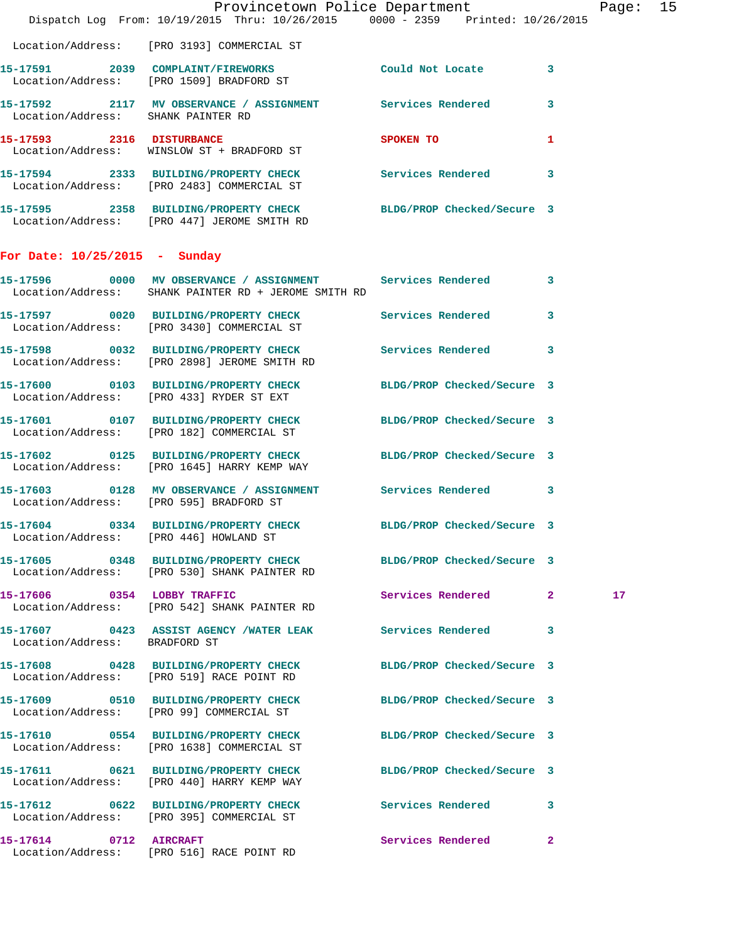|                                        | Dispatch Log From: 10/19/2015 Thru: 10/26/2015 0000 - 2359 Printed: 10/26/2015                                       | Provincetown Police Department                                                                                                                                                                                                |              | Page: 15        |  |
|----------------------------------------|----------------------------------------------------------------------------------------------------------------------|-------------------------------------------------------------------------------------------------------------------------------------------------------------------------------------------------------------------------------|--------------|-----------------|--|
|                                        | Location/Address: [PRO 3193] COMMERCIAL ST                                                                           |                                                                                                                                                                                                                               |              |                 |  |
|                                        | 15-17591 2039 COMPLAINT/FIREWORKS Could Not Locate 3<br>Location/Address: [PRO 1509] BRADFORD ST                     |                                                                                                                                                                                                                               |              |                 |  |
| Location/Address: SHANK PAINTER RD     | 15-17592 2117 MV OBSERVANCE / ASSIGNMENT Services Rendered 3                                                         |                                                                                                                                                                                                                               |              |                 |  |
|                                        | 15-17593 2316 DISTURBANCE<br>Location/Address: WINSLOW ST + BRADFORD ST                                              | SPOKEN TO AND TO A STRUCK TO A THING OF THE STRUCK OF THE STRUCK OF THE STRUCK OF THE STRUCK OF THE STRUCK OF THE STRUCK OF THE STRUCK OF THE STRUCK OF THE STRUCK OF THE STRUCK OF THE STRUCK OF THE STRUCK OF THE STRUCK OF | $\mathbf{1}$ |                 |  |
|                                        | 15-17594 2333 BUILDING/PROPERTY CHECK Services Rendered 3<br>Location/Address: [PRO 2483] COMMERCIAL ST              |                                                                                                                                                                                                                               |              |                 |  |
|                                        | 15-17595 2358 BUILDING/PROPERTY CHECK BLDG/PROP Checked/Secure 3<br>Location/Address: [PRO 447] JEROME SMITH RD      |                                                                                                                                                                                                                               |              |                 |  |
| For Date: $10/25/2015$ - Sunday        |                                                                                                                      |                                                                                                                                                                                                                               |              |                 |  |
|                                        | 15-17596 0000 MV OBSERVANCE / ASSIGNMENT Services Rendered 3<br>Location/Address: SHANK PAINTER RD + JEROME SMITH RD |                                                                                                                                                                                                                               |              |                 |  |
|                                        | 15-17597 0020 BUILDING/PROPERTY CHECK Services Rendered 3<br>Location/Address: [PRO 3430] COMMERCIAL ST              |                                                                                                                                                                                                                               |              |                 |  |
|                                        | 15-17598 0032 BUILDING/PROPERTY CHECK Services Rendered 3<br>Location/Address: [PRO 2898] JEROME SMITH RD            |                                                                                                                                                                                                                               |              |                 |  |
|                                        | 15-17600 0103 BUILDING/PROPERTY CHECK BLDG/PROP Checked/Secure 3<br>Location/Address: [PRO 433] RYDER ST EXT         |                                                                                                                                                                                                                               |              |                 |  |
|                                        | 15-17601 0107 BUILDING/PROPERTY CHECK BLDG/PROP Checked/Secure 3<br>Location/Address: [PRO 182] COMMERCIAL ST        |                                                                                                                                                                                                                               |              |                 |  |
|                                        | 15-17602 0125 BUILDING/PROPERTY CHECK BLDG/PROP Checked/Secure 3<br>Location/Address: [PRO 1645] HARRY KEMP WAY      |                                                                                                                                                                                                                               |              |                 |  |
|                                        | 15-17603 0128 MV OBSERVANCE / ASSIGNMENT Services Rendered 3<br>Location/Address: [PRO 595] BRADFORD ST              |                                                                                                                                                                                                                               |              |                 |  |
| Location/Address: [PRO 446] HOWLAND ST | 15-17604 0334 BUILDING/PROPERTY CHECK BLDG/PROP Checked/Secure 3                                                     |                                                                                                                                                                                                                               |              |                 |  |
|                                        | 15-17605 0348 BUILDING/PROPERTY CHECK BLDG/PROP Checked/Secure 3<br>Location/Address: [PRO 530] SHANK PAINTER RD     |                                                                                                                                                                                                                               |              |                 |  |
|                                        | 15-17606 0354 LOBBY TRAFFIC<br>Location/Address: [PRO 542] SHANK PAINTER RD                                          | Services Rendered 2                                                                                                                                                                                                           |              | 17 <sub>1</sub> |  |
| Location/Address: BRADFORD ST          | 15-17607 0423 ASSIST AGENCY /WATER LEAK Services Rendered 3                                                          |                                                                                                                                                                                                                               |              |                 |  |
|                                        | 15-17608 0428 BUILDING/PROPERTY CHECK BLDG/PROP Checked/Secure 3<br>Location/Address: [PRO 519] RACE POINT RD        |                                                                                                                                                                                                                               |              |                 |  |
|                                        | 15-17609 0510 BUILDING/PROPERTY CHECK BLDG/PROP Checked/Secure 3<br>Location/Address: [PRO 99] COMMERCIAL ST         |                                                                                                                                                                                                                               |              |                 |  |
|                                        | 15-17610 0554 BUILDING/PROPERTY CHECK BLDG/PROP Checked/Secure 3<br>Location/Address: [PRO 1638] COMMERCIAL ST       |                                                                                                                                                                                                                               |              |                 |  |
|                                        | 15-17611 0621 BUILDING/PROPERTY CHECK BLDG/PROP Checked/Secure 3<br>Location/Address: [PRO 440] HARRY KEMP WAY       |                                                                                                                                                                                                                               |              |                 |  |
|                                        | 15-17612 0622 BUILDING/PROPERTY CHECK Services Rendered 3<br>Location/Address: [PRO 395] COMMERCIAL ST               |                                                                                                                                                                                                                               |              |                 |  |
|                                        | 15-17614 0712 AIRCRAFT<br>Location/Address: [PRO 516] RACE POINT RD                                                  | Services Rendered                                                                                                                                                                                                             | $\mathbf{2}$ |                 |  |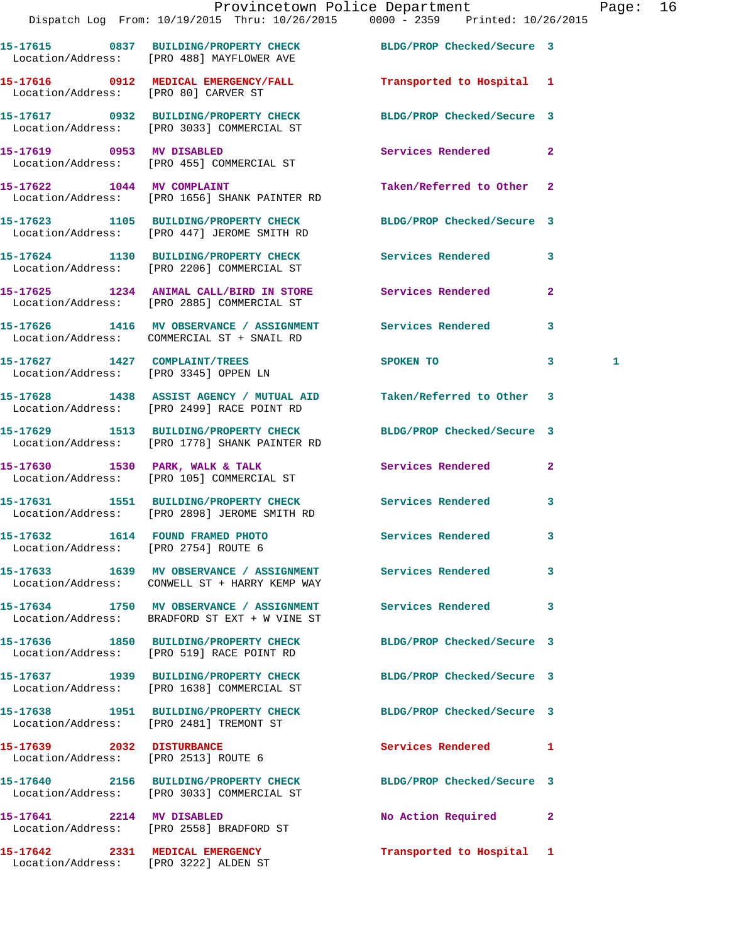|                                                                          | Dispatch Log From: 10/19/2015 Thru: 10/26/2015 0000 - 2359 Printed: 10/26/2015                                    | Provincetown Police Department |              | Page: 16 |  |
|--------------------------------------------------------------------------|-------------------------------------------------------------------------------------------------------------------|--------------------------------|--------------|----------|--|
|                                                                          | 15-17615 0837 BUILDING/PROPERTY CHECK BLDG/PROP Checked/Secure 3<br>Location/Address: [PRO 488] MAYFLOWER AVE     |                                |              |          |  |
| Location/Address: [PRO 80] CARVER ST                                     | 15-17616 0912 MEDICAL EMERGENCY/FALL                                                                              | Transported to Hospital 1      |              |          |  |
|                                                                          | 15-17617 0932 BUILDING/PROPERTY CHECK BLDG/PROP Checked/Secure 3<br>Location/Address: [PRO 3033] COMMERCIAL ST    |                                |              |          |  |
|                                                                          | 15-17619 0953 MV DISABLED<br>Location/Address: [PRO 455] COMMERCIAL ST                                            | Services Rendered 2            |              |          |  |
|                                                                          | 15-17622 1044 MV COMPLAINT<br>Location/Address: [PRO 1656] SHANK PAINTER RD                                       | Taken/Referred to Other 2      |              |          |  |
|                                                                          | 15-17623 1105 BUILDING/PROPERTY CHECK BLDG/PROP Checked/Secure 3<br>Location/Address: [PRO 447] JEROME SMITH RD   |                                |              |          |  |
|                                                                          | 15-17624 1130 BUILDING/PROPERTY CHECK<br>Location/Address: [PRO 2206] COMMERCIAL ST                               | Services Rendered 3            |              |          |  |
|                                                                          | 15-17625 1234 ANIMAL CALL/BIRD IN STORE Services Rendered<br>Location/Address: [PRO 2885] COMMERCIAL ST           |                                | $\mathbf{2}$ |          |  |
|                                                                          | 15-17626 1416 MV OBSERVANCE / ASSIGNMENT Services Rendered<br>Location/Address: COMMERCIAL ST + SNAIL RD          |                                | $\mathbf{3}$ |          |  |
|                                                                          | 15-17627 1427 COMPLAINT/TREES<br>Location/Address: [PRO 3345] OPPEN LN                                            | <b>SPOKEN TO</b>               | $\mathbf{3}$ | 1        |  |
|                                                                          | 15-17628 1438 ASSIST AGENCY / MUTUAL AID Taken/Referred to Other 3<br>Location/Address: [PRO 2499] RACE POINT RD  |                                |              |          |  |
|                                                                          | 15-17629 1513 BUILDING/PROPERTY CHECK BLDG/PROP Checked/Secure 3<br>Location/Address: [PRO 1778] SHANK PAINTER RD |                                |              |          |  |
|                                                                          | 15-17630 1530 PARK, WALK & TALK 3 Services Rendered 2<br>Location/Address: [PRO 105] COMMERCIAL ST                |                                |              |          |  |
|                                                                          | 15-17631 1551 BUILDING/PROPERTY CHECK Services Rendered<br>Location/Address: [PRO 2898] JEROME SMITH RD           |                                | 3            |          |  |
| 15-17632 1614 FOUND FRAMED PHOTO<br>Location/Address: [PRO 2754] ROUTE 6 |                                                                                                                   | Services Rendered              |              |          |  |
|                                                                          | 15-17633 1639 MV OBSERVANCE / ASSIGNMENT Services Rendered 3<br>Location/Address: CONWELL ST + HARRY KEMP WAY     |                                |              |          |  |
|                                                                          | 15-17634 1750 MV OBSERVANCE / ASSIGNMENT Services Rendered 3<br>Location/Address: BRADFORD ST EXT + W VINE ST     |                                |              |          |  |
|                                                                          | 15-17636 1850 BUILDING/PROPERTY CHECK BLDG/PROP Checked/Secure 3<br>Location/Address: [PRO 519] RACE POINT RD     |                                |              |          |  |
|                                                                          | 15-17637 1939 BUILDING/PROPERTY CHECK BLDG/PROP Checked/Secure 3<br>Location/Address: [PRO 1638] COMMERCIAL ST    |                                |              |          |  |
|                                                                          | 15-17638 1951 BUILDING/PROPERTY CHECK BLDG/PROP Checked/Secure 3<br>Location/Address: [PRO 2481] TREMONT ST       |                                |              |          |  |
| 15-17639 2032 DISTURBANCE                                                | Location/Address: [PRO 2513] ROUTE 6                                                                              | Services Rendered 1            |              |          |  |
|                                                                          | 15-17640 2156 BUILDING/PROPERTY CHECK BLDG/PROP Checked/Secure 3<br>Location/Address: [PRO 3033] COMMERCIAL ST    |                                |              |          |  |
|                                                                          | 15-17641 2214 MV DISABLED<br>Location/Address: [PRO 2558] BRADFORD ST                                             | No Action Required 2           |              |          |  |
|                                                                          | 15-17642 2331 MEDICAL EMERGENCY                                                                                   | Transported to Hospital 1      |              |          |  |

Location/Address: [PRO 3222] ALDEN ST